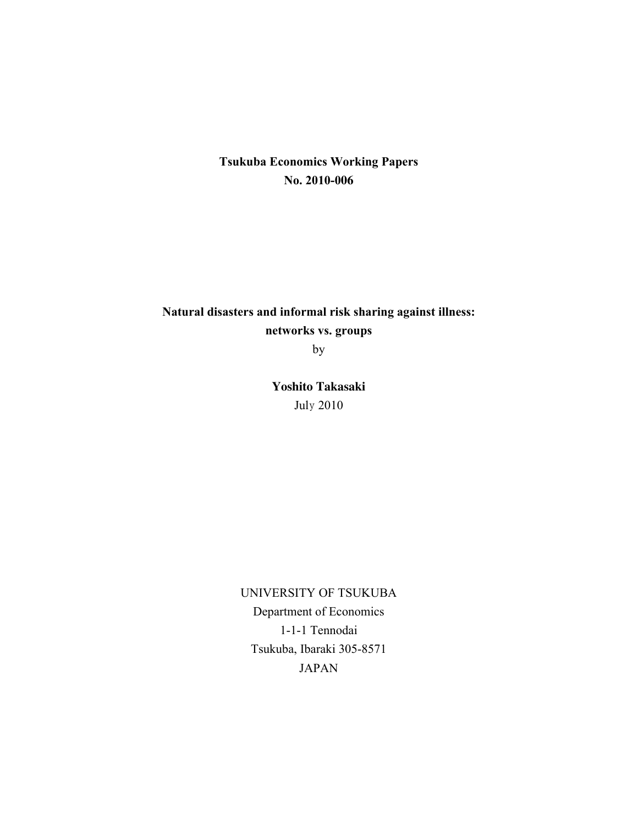## **Tsukuba Economics Working Papers No. 2010-006**

# **Natural disasters and informal risk sharing against illness: networks vs. groups**

by

**Yoshito Takasaki** July 2010

UNIVERSITY OF TSUKUBA Department of Economics 1-1-1 Tennodai Tsukuba, Ibaraki 305-8571 JAPAN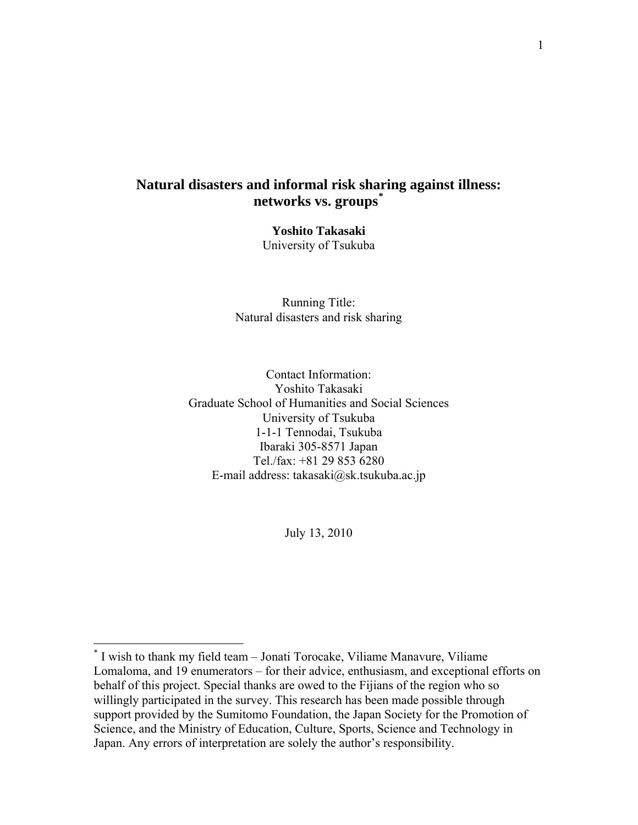## **Natural disasters and informal risk sharing against illness: networks vs. groups[\\*](#page-1-0)**

**Yoshito Takasaki**  University of Tsukuba

Running Title: Natural disasters and risk sharing

Contact Information: Yoshito Takasaki Graduate School of Humanities and Social Sciences University of Tsukuba 1-1-1 Tennodai, Tsukuba Ibaraki 305-8571 Japan Tel./fax: +81 29 853 6280 E-mail address: takasaki@sk.tsukuba.ac.jp

July 13, 2010

<span id="page-1-0"></span> \* I wish to thank my field team – Jonati Torocake, Viliame Manavure, Viliame Lomaloma, and 19 enumerators – for their advice, enthusiasm, and exceptional efforts on behalf of this project. Special thanks are owed to the Fijians of the region who so willingly participated in the survey. This research has been made possible through support provided by the Sumitomo Foundation, the Japan Society for the Promotion of Science, and the Ministry of Education, Culture, Sports, Science and Technology in Japan. Any errors of interpretation are solely the author's responsibility.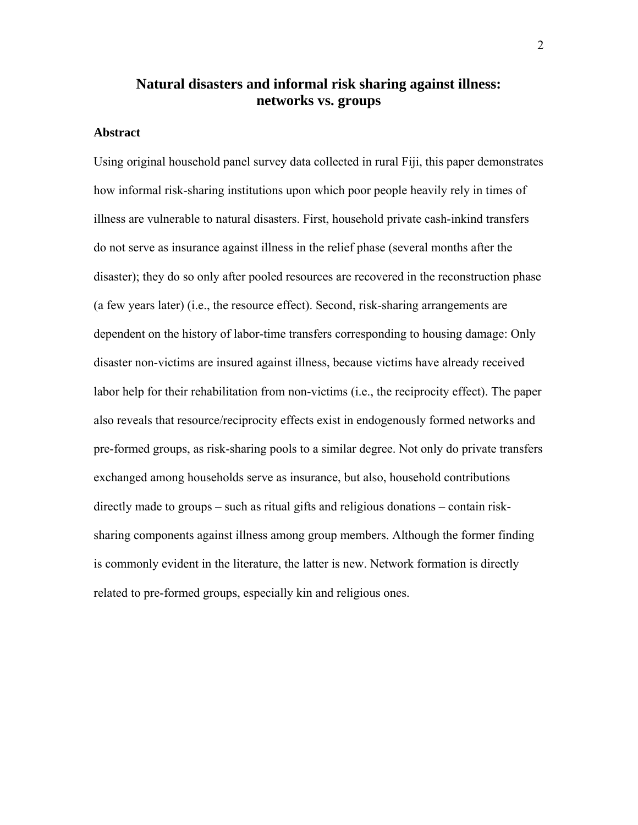## **Natural disasters and informal risk sharing against illness: networks vs. groups**

## **Abstract**

Using original household panel survey data collected in rural Fiji, this paper demonstrates how informal risk-sharing institutions upon which poor people heavily rely in times of illness are vulnerable to natural disasters. First, household private cash-inkind transfers do not serve as insurance against illness in the relief phase (several months after the disaster); they do so only after pooled resources are recovered in the reconstruction phase (a few years later) (i.e., the resource effect). Second, risk-sharing arrangements are dependent on the history of labor-time transfers corresponding to housing damage: Only disaster non-victims are insured against illness, because victims have already received labor help for their rehabilitation from non-victims (i.e., the reciprocity effect). The paper also reveals that resource/reciprocity effects exist in endogenously formed networks and pre-formed groups, as risk-sharing pools to a similar degree. Not only do private transfers exchanged among households serve as insurance, but also, household contributions directly made to groups – such as ritual gifts and religious donations – contain risksharing components against illness among group members. Although the former finding is commonly evident in the literature, the latter is new. Network formation is directly related to pre-formed groups, especially kin and religious ones.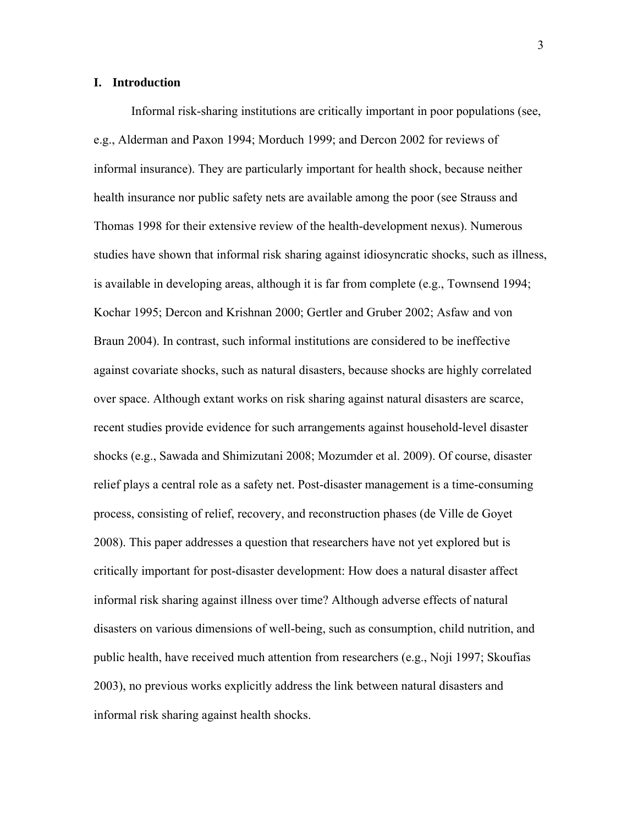## **I. Introduction**

Informal risk-sharing institutions are critically important in poor populations (see, e.g., Alderman and Paxon 1994; Morduch 1999; and Dercon 2002 for reviews of informal insurance). They are particularly important for health shock, because neither health insurance nor public safety nets are available among the poor (see Strauss and Thomas 1998 for their extensive review of the health-development nexus). Numerous studies have shown that informal risk sharing against idiosyncratic shocks, such as illness, is available in developing areas, although it is far from complete (e.g., Townsend 1994; Kochar 1995; Dercon and Krishnan 2000; Gertler and Gruber 2002; Asfaw and von Braun 2004). In contrast, such informal institutions are considered to be ineffective against covariate shocks, such as natural disasters, because shocks are highly correlated over space. Although extant works on risk sharing against natural disasters are scarce, recent studies provide evidence for such arrangements against household-level disaster shocks (e.g., Sawada and Shimizutani 2008; Mozumder et al. 2009). Of course, disaster relief plays a central role as a safety net. Post-disaster management is a time-consuming process, consisting of relief, recovery, and reconstruction phases (de Ville de Goyet 2008). This paper addresses a question that researchers have not yet explored but is critically important for post-disaster development: How does a natural disaster affect informal risk sharing against illness over time? Although adverse effects of natural disasters on various dimensions of well-being, such as consumption, child nutrition, and public health, have received much attention from researchers (e.g., Noji 1997; Skoufias 2003), no previous works explicitly address the link between natural disasters and informal risk sharing against health shocks.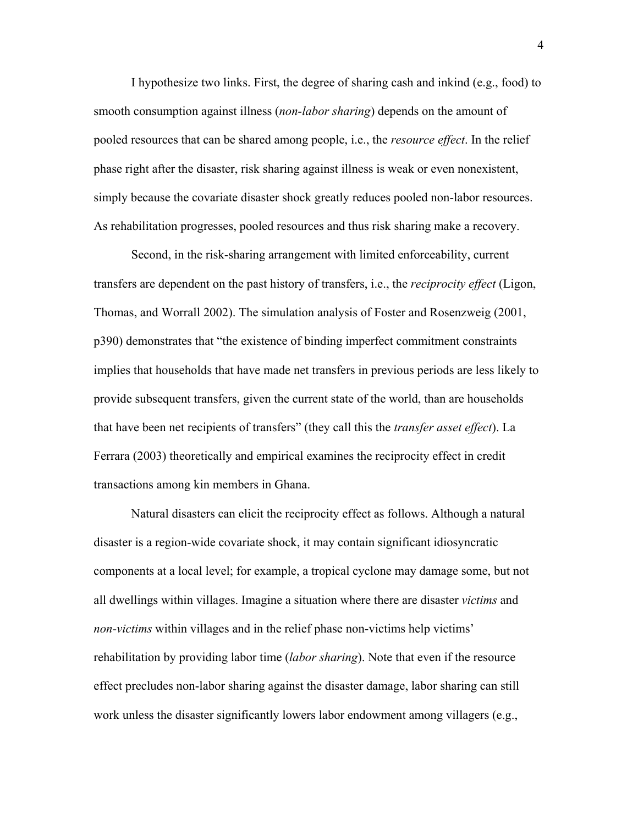I hypothesize two links. First, the degree of sharing cash and inkind (e.g., food) to smooth consumption against illness (*non-labor sharing*) depends on the amount of pooled resources that can be shared among people, i.e., the *resource effect*. In the relief phase right after the disaster, risk sharing against illness is weak or even nonexistent, simply because the covariate disaster shock greatly reduces pooled non-labor resources. As rehabilitation progresses, pooled resources and thus risk sharing make a recovery.

Second, in the risk-sharing arrangement with limited enforceability, current transfers are dependent on the past history of transfers, i.e., the *reciprocity effect* (Ligon, Thomas, and Worrall 2002). The simulation analysis of Foster and Rosenzweig (2001, p390) demonstrates that "the existence of binding imperfect commitment constraints implies that households that have made net transfers in previous periods are less likely to provide subsequent transfers, given the current state of the world, than are households that have been net recipients of transfers" (they call this the *transfer asset effect*). La Ferrara (2003) theoretically and empirical examines the reciprocity effect in credit transactions among kin members in Ghana.

Natural disasters can elicit the reciprocity effect as follows. Although a natural disaster is a region-wide covariate shock, it may contain significant idiosyncratic components at a local level; for example, a tropical cyclone may damage some, but not all dwellings within villages. Imagine a situation where there are disaster *victims* and *non-victims* within villages and in the relief phase non-victims help victims' rehabilitation by providing labor time (*labor sharing*). Note that even if the resource effect precludes non-labor sharing against the disaster damage, labor sharing can still work unless the disaster significantly lowers labor endowment among villagers (e.g.,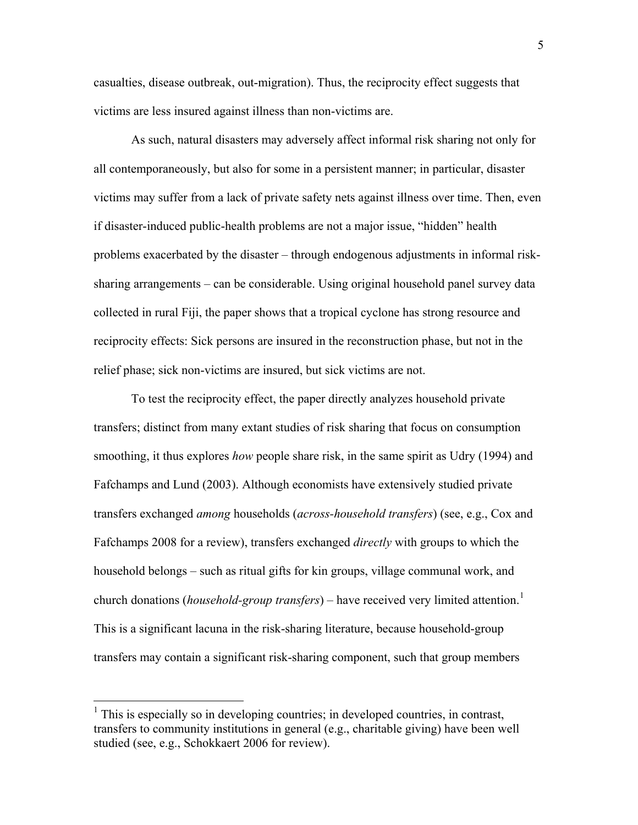<span id="page-5-0"></span>casualties, disease outbreak, out-migration). Thus, the reciprocity effect suggests that victims are less insured against illness than non-victims are.

As such, natural disasters may adversely affect informal risk sharing not only for all contemporaneously, but also for some in a persistent manner; in particular, disaster victims may suffer from a lack of private safety nets against illness over time. Then, even if disaster-induced public-health problems are not a major issue, "hidden" health problems exacerbated by the disaster – through endogenous adjustments in informal risksharing arrangements – can be considerable. Using original household panel survey data collected in rural Fiji, the paper shows that a tropical cyclone has strong resource and reciprocity effects: Sick persons are insured in the reconstruction phase, but not in the relief phase; sick non-victims are insured, but sick victims are not.

To test the reciprocity effect, the paper directly analyzes household private transfers; distinct from many extant studies of risk sharing that focus on consumption smoothing, it thus explores *how* people share risk, in the same spirit as Udry (1994) and Fafchamps and Lund (2003). Although economists have extensively studied private transfers exchanged *among* households (*across-household transfers*) (see, e.g., Cox and Fafchamps 2008 for a review), transfers exchanged *directly* with groups to which the household belongs – such as ritual gifts for kin groups, village communal work, and church donations (*household-group transfers*) – have received very limited attention.<sup>[1](#page-5-0)</sup> This is a significant lacuna in the risk-sharing literature, because household-group transfers may contain a significant risk-sharing component, such that group members

 $\overline{a}$ 

 $<sup>1</sup>$  This is especially so in developing countries; in developed countries, in contrast,</sup> transfers to community institutions in general (e.g., charitable giving) have been well studied (see, e.g., Schokkaert 2006 for review).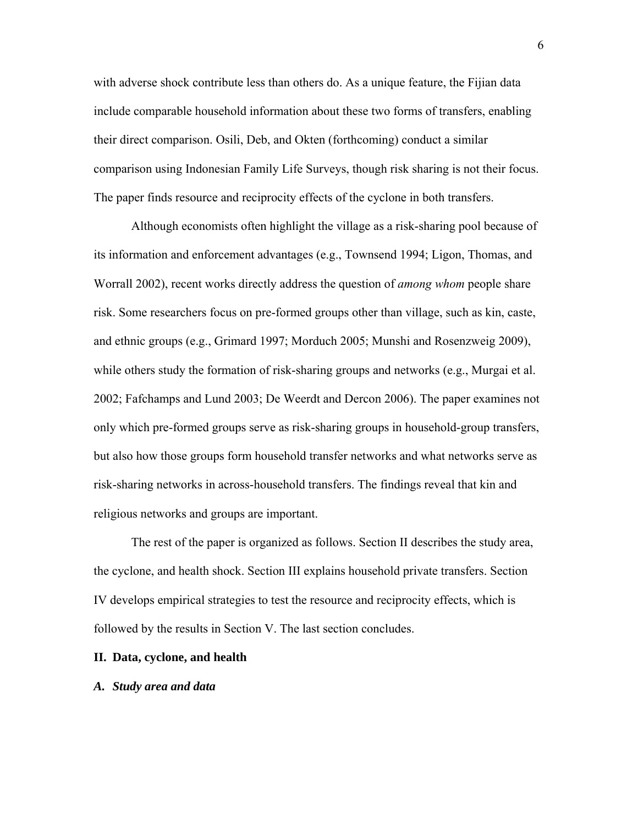with adverse shock contribute less than others do. As a unique feature, the Fijian data include comparable household information about these two forms of transfers, enabling their direct comparison. Osili, Deb, and Okten (forthcoming) conduct a similar comparison using Indonesian Family Life Surveys, though risk sharing is not their focus. The paper finds resource and reciprocity effects of the cyclone in both transfers.

Although economists often highlight the village as a risk-sharing pool because of its information and enforcement advantages (e.g., Townsend 1994; Ligon, Thomas, and Worrall 2002), recent works directly address the question of *among whom* people share risk. Some researchers focus on pre-formed groups other than village, such as kin, caste, and ethnic groups (e.g., Grimard 1997; Morduch 2005; Munshi and Rosenzweig 2009), while others study the formation of risk-sharing groups and networks (e.g., Murgai et al. 2002; Fafchamps and Lund 2003; De Weerdt and Dercon 2006). The paper examines not only which pre-formed groups serve as risk-sharing groups in household-group transfers, but also how those groups form household transfer networks and what networks serve as risk-sharing networks in across-household transfers. The findings reveal that kin and religious networks and groups are important.

The rest of the paper is organized as follows. Section II describes the study area, the cyclone, and health shock. Section III explains household private transfers. Section IV develops empirical strategies to test the resource and reciprocity effects, which is followed by the results in Section V. The last section concludes.

#### **II. Data, cyclone, and health**

#### *A. Study area and data*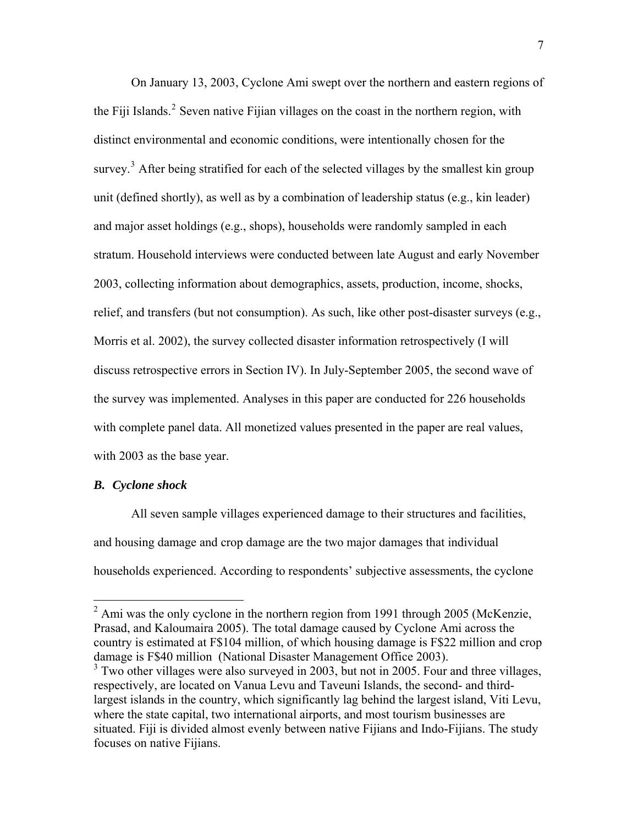<span id="page-7-0"></span>On January 13, 2003, Cyclone Ami swept over the northern and eastern regions of the Fiji Islands.<sup>[2](#page-7-0)</sup> Seven native Fijian villages on the coast in the northern region, with distinct environmental and economic conditions, were intentionally chosen for the survey.<sup>[3](#page-7-0)</sup> After being stratified for each of the selected villages by the smallest kin group unit (defined shortly), as well as by a combination of leadership status (e.g., kin leader) and major asset holdings (e.g., shops), households were randomly sampled in each stratum. Household interviews were conducted between late August and early November 2003, collecting information about demographics, assets, production, income, shocks, relief, and transfers (but not consumption). As such, like other post-disaster surveys (e.g., Morris et al. 2002), the survey collected disaster information retrospectively (I will discuss retrospective errors in Section IV). In July-September 2005, the second wave of the survey was implemented. Analyses in this paper are conducted for 226 households with complete panel data. All monetized values presented in the paper are real values, with 2003 as the base year.

## *B. Cyclone shock*

All seven sample villages experienced damage to their structures and facilities, and housing damage and crop damage are the two major damages that individual households experienced. According to respondents' subjective assessments, the cyclone

<sup>&</sup>lt;sup>2</sup> Ami was the only cyclone in the northern region from 1991 through 2005 (McKenzie, Prasad, and Kaloumaira 2005). The total damage caused by Cyclone Ami across the country is estimated at F\$104 million, of which housing damage is F\$22 million and crop damage is F\$40 million (National Disaster Management Office 2003).

<sup>&</sup>lt;sup>3</sup> Two other villages were also surveyed in 2003, but not in 2005. Four and three villages, respectively, are located on Vanua Levu and Taveuni Islands, the second- and thirdlargest islands in the country, which significantly lag behind the largest island, Viti Levu, where the state capital, two international airports, and most tourism businesses are situated. Fiji is divided almost evenly between native Fijians and Indo-Fijians. The study focuses on native Fijians.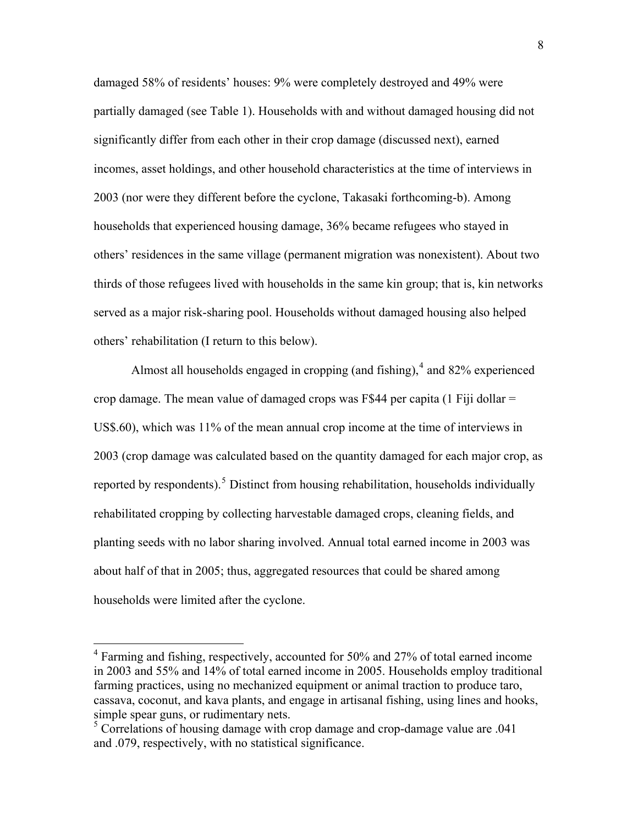<span id="page-8-0"></span>damaged 58% of residents' houses: 9% were completely destroyed and 49% were partially damaged (see Table 1). Households with and without damaged housing did not significantly differ from each other in their crop damage (discussed next), earned incomes, asset holdings, and other household characteristics at the time of interviews in 2003 (nor were they different before the cyclone, Takasaki forthcoming-b). Among households that experienced housing damage, 36% became refugees who stayed in others' residences in the same village (permanent migration was nonexistent). About two thirds of those refugees lived with households in the same kin group; that is, kin networks served as a major risk-sharing pool. Households without damaged housing also helped others' rehabilitation (I return to this below).

Almost all households engaged in cropping (and fishing), $4$  and 82% experienced crop damage. The mean value of damaged crops was F\$44 per capita  $(1 \text{ Fiji dollar} =$ US\$.60), which was 11% of the mean annual crop income at the time of interviews in 2003 (crop damage was calculated based on the quantity damaged for each major crop, as reported by respondents).<sup>[5](#page-8-0)</sup> Distinct from housing rehabilitation, households individually rehabilitated cropping by collecting harvestable damaged crops, cleaning fields, and planting seeds with no labor sharing involved. Annual total earned income in 2003 was about half of that in 2005; thus, aggregated resources that could be shared among households were limited after the cyclone.

 $\overline{a}$ 

<sup>&</sup>lt;sup>4</sup> Farming and fishing, respectively, accounted for 50% and 27% of total earned income in 2003 and 55% and 14% of total earned income in 2005. Households employ traditional farming practices, using no mechanized equipment or animal traction to produce taro, cassava, coconut, and kava plants, and engage in artisanal fishing, using lines and hooks, simple spear guns, or rudimentary nets.

<sup>&</sup>lt;sup>5</sup> Correlations of housing damage with crop damage and crop-damage value are .041 and .079, respectively, with no statistical significance.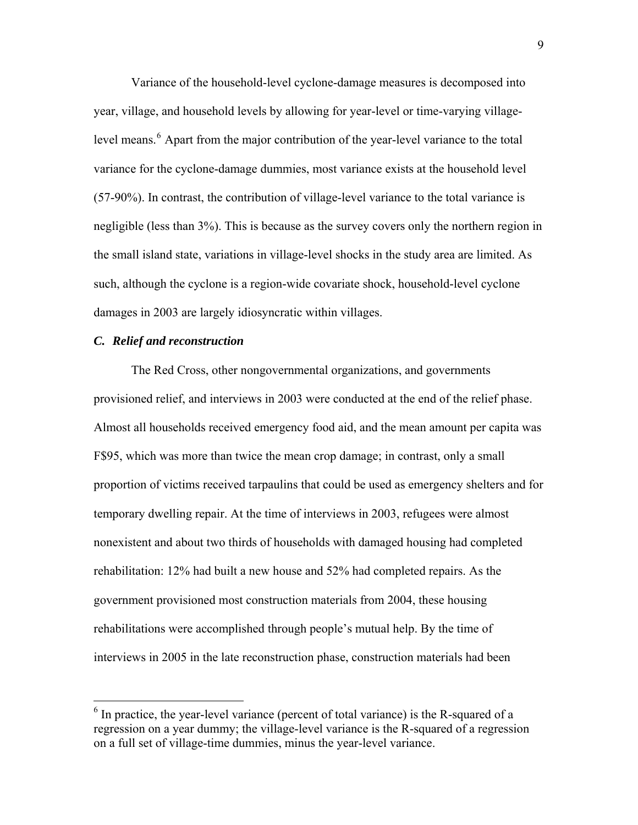<span id="page-9-0"></span>Variance of the household-level cyclone-damage measures is decomposed into year, village, and household levels by allowing for year-level or time-varying village-level means.<sup>[6](#page-9-0)</sup> Apart from the major contribution of the year-level variance to the total variance for the cyclone-damage dummies, most variance exists at the household level (57-90%). In contrast, the contribution of village-level variance to the total variance is negligible (less than 3%). This is because as the survey covers only the northern region in the small island state, variations in village-level shocks in the study area are limited. As such, although the cyclone is a region-wide covariate shock, household-level cyclone damages in 2003 are largely idiosyncratic within villages.

## *C. Relief and reconstruction*

 $\overline{a}$ 

The Red Cross, other nongovernmental organizations, and governments provisioned relief, and interviews in 2003 were conducted at the end of the relief phase. Almost all households received emergency food aid, and the mean amount per capita was F\$95, which was more than twice the mean crop damage; in contrast, only a small proportion of victims received tarpaulins that could be used as emergency shelters and for temporary dwelling repair. At the time of interviews in 2003, refugees were almost nonexistent and about two thirds of households with damaged housing had completed rehabilitation: 12% had built a new house and 52% had completed repairs. As the government provisioned most construction materials from 2004, these housing rehabilitations were accomplished through people's mutual help. By the time of interviews in 2005 in the late reconstruction phase, construction materials had been

 $6$  In practice, the year-level variance (percent of total variance) is the R-squared of a regression on a year dummy; the village-level variance is the R-squared of a regression on a full set of village-time dummies, minus the year-level variance.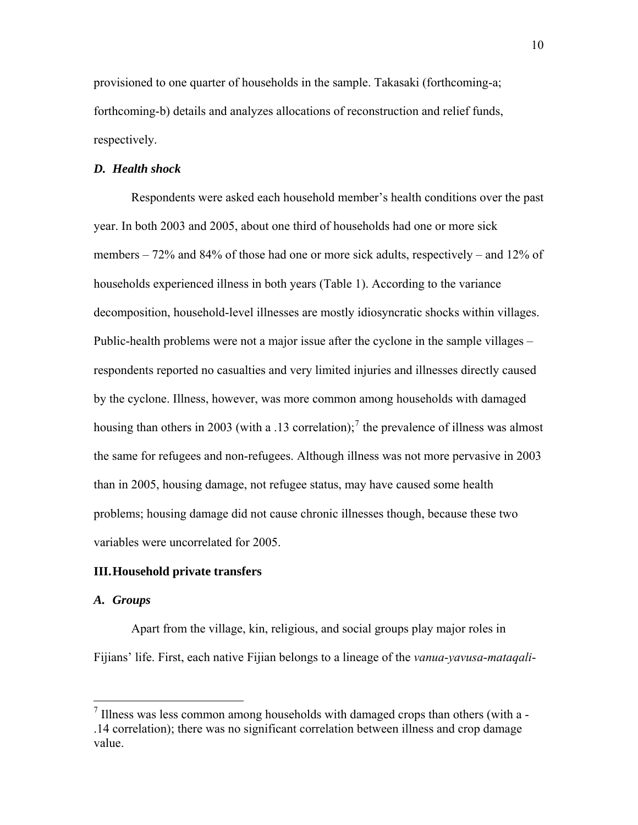<span id="page-10-0"></span>provisioned to one quarter of households in the sample. Takasaki (forthcoming-a; forthcoming-b) details and analyzes allocations of reconstruction and relief funds, respectively.

## *D. Health shock*

Respondents were asked each household member's health conditions over the past year. In both 2003 and 2005, about one third of households had one or more sick members – 72% and 84% of those had one or more sick adults, respectively – and 12% of households experienced illness in both years (Table 1). According to the variance decomposition, household-level illnesses are mostly idiosyncratic shocks within villages. Public-health problems were not a major issue after the cyclone in the sample villages – respondents reported no casualties and very limited injuries and illnesses directly caused by the cyclone. Illness, however, was more common among households with damaged housing than others in 2003 (with a .13 correlation);<sup>[7](#page-10-0)</sup> the prevalence of illness was almost the same for refugees and non-refugees. Although illness was not more pervasive in 2003 than in 2005, housing damage, not refugee status, may have caused some health problems; housing damage did not cause chronic illnesses though, because these two variables were uncorrelated for 2005.

#### **III.Household private transfers**

#### *A. Groups*

 $\overline{a}$ 

Apart from the village, kin, religious, and social groups play major roles in Fijians' life. First, each native Fijian belongs to a lineage of the *vanua*-*yavusa*-*mataqali*-

 $<sup>7</sup>$  Illness was less common among households with damaged crops than others (with a -</sup> .14 correlation); there was no significant correlation between illness and crop damage value.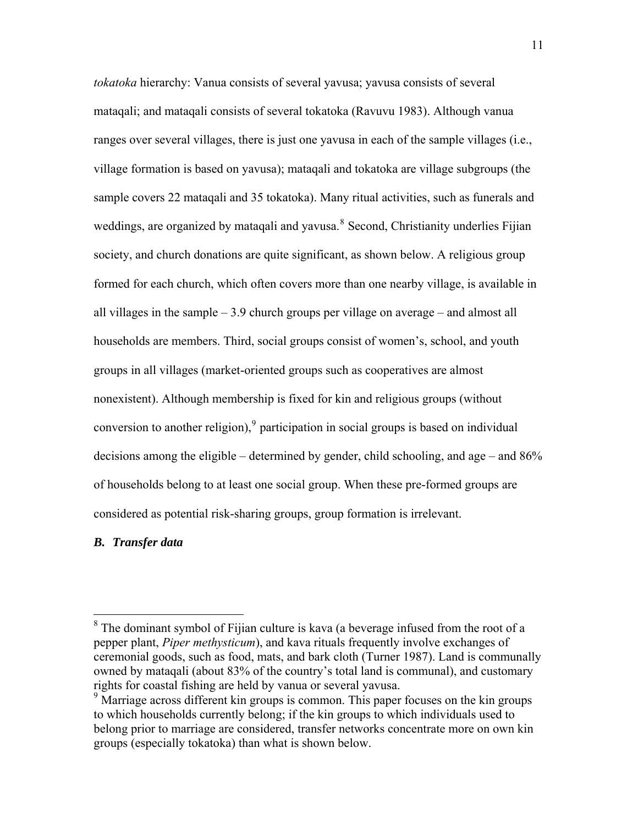<span id="page-11-0"></span>*tokatoka* hierarchy: Vanua consists of several yavusa; yavusa consists of several mataqali; and mataqali consists of several tokatoka (Ravuvu 1983). Although vanua ranges over several villages, there is just one yavusa in each of the sample villages (i.e., village formation is based on yavusa); mataqali and tokatoka are village subgroups (the sample covers 22 mataqali and 35 tokatoka). Many ritual activities, such as funerals and weddings, are organized by mataqali and yavusa.<sup>[8](#page-11-0)</sup> Second, Christianity underlies Fijian society, and church donations are quite significant, as shown below. A religious group formed for each church, which often covers more than one nearby village, is available in all villages in the sample  $-3.9$  church groups per village on average – and almost all households are members. Third, social groups consist of women's, school, and youth groups in all villages (market-oriented groups such as cooperatives are almost nonexistent). Although membership is fixed for kin and religious groups (without conversion to another religion),  $9$  participation in social groups is based on individual decisions among the eligible – determined by gender, child schooling, and age – and 86% of households belong to at least one social group. When these pre-formed groups are considered as potential risk-sharing groups, group formation is irrelevant.

#### *B. Transfer data*

 $\overline{a}$ 

 $8$  The dominant symbol of Fijian culture is kava (a beverage infused from the root of a pepper plant, *Piper methysticum*), and kava rituals frequently involve exchanges of ceremonial goods, such as food, mats, and bark cloth (Turner 1987). Land is communally owned by mataqali (about 83% of the country's total land is communal), and customary rights for coastal fishing are held by vanua or several yavusa.

<sup>&</sup>lt;sup>9</sup> Marriage across different kin groups is common. This paper focuses on the kin groups to which households currently belong; if the kin groups to which individuals used to belong prior to marriage are considered, transfer networks concentrate more on own kin groups (especially tokatoka) than what is shown below.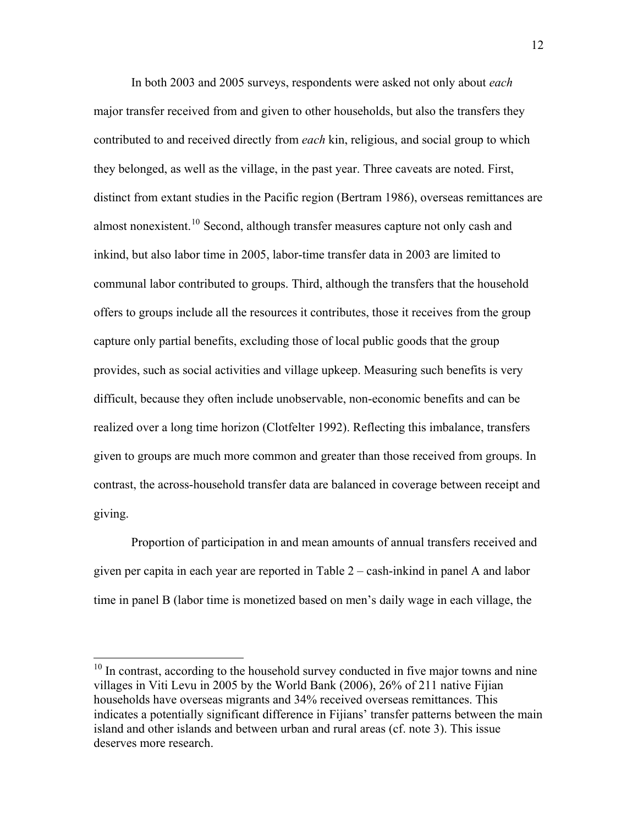<span id="page-12-0"></span>In both 2003 and 2005 surveys, respondents were asked not only about *each* major transfer received from and given to other households, but also the transfers they contributed to and received directly from *each* kin, religious, and social group to which they belonged, as well as the village, in the past year. Three caveats are noted. First, distinct from extant studies in the Pacific region (Bertram 1986), overseas remittances are almost nonexistent.<sup>[10](#page-12-0)</sup> Second, although transfer measures capture not only cash and inkind, but also labor time in 2005, labor-time transfer data in 2003 are limited to communal labor contributed to groups. Third, although the transfers that the household offers to groups include all the resources it contributes, those it receives from the group capture only partial benefits, excluding those of local public goods that the group provides, such as social activities and village upkeep. Measuring such benefits is very difficult, because they often include unobservable, non-economic benefits and can be realized over a long time horizon (Clotfelter 1992). Reflecting this imbalance, transfers given to groups are much more common and greater than those received from groups. In contrast, the across-household transfer data are balanced in coverage between receipt and giving.

Proportion of participation in and mean amounts of annual transfers received and given per capita in each year are reported in Table 2 – cash-inkind in panel A and labor time in panel B (labor time is monetized based on men's daily wage in each village, the

 $\overline{a}$ 

 $10$  In contrast, according to the household survey conducted in five major towns and nine villages in Viti Levu in 2005 by the World Bank (2006), 26% of 211 native Fijian households have overseas migrants and 34% received overseas remittances. This indicates a potentially significant difference in Fijians' transfer patterns between the main island and other islands and between urban and rural areas (cf. note 3). This issue deserves more research.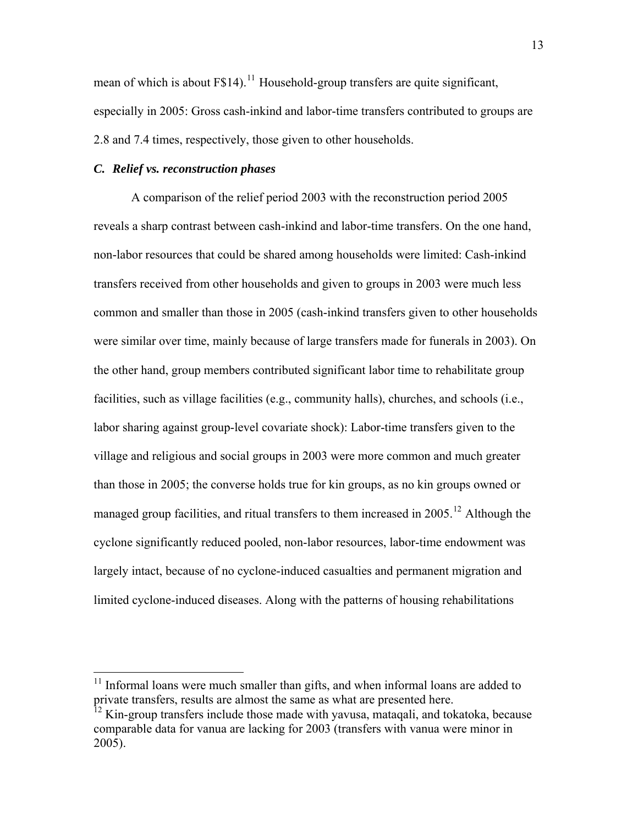<span id="page-13-0"></span>mean of which is about  $F$14$ ).<sup>[11](#page-13-0)</sup> Household-group transfers are quite significant, especially in 2005: Gross cash-inkind and labor-time transfers contributed to groups are 2.8 and 7.4 times, respectively, those given to other households.

## *C. Relief vs. reconstruction phases*

 $\overline{a}$ 

A comparison of the relief period 2003 with the reconstruction period 2005 reveals a sharp contrast between cash-inkind and labor-time transfers. On the one hand, non-labor resources that could be shared among households were limited: Cash-inkind transfers received from other households and given to groups in 2003 were much less common and smaller than those in 2005 (cash-inkind transfers given to other households were similar over time, mainly because of large transfers made for funerals in 2003). On the other hand, group members contributed significant labor time to rehabilitate group facilities, such as village facilities (e.g., community halls), churches, and schools (i.e., labor sharing against group-level covariate shock): Labor-time transfers given to the village and religious and social groups in 2003 were more common and much greater than those in 2005; the converse holds true for kin groups, as no kin groups owned or managed group facilities, and ritual transfers to them increased in  $2005$ <sup>[12](#page-13-0)</sup> Although the cyclone significantly reduced pooled, non-labor resources, labor-time endowment was largely intact, because of no cyclone-induced casualties and permanent migration and limited cyclone-induced diseases. Along with the patterns of housing rehabilitations

 $11$  Informal loans were much smaller than gifts, and when informal loans are added to private transfers, results are almost the same as what are presented here.

 $12$  Kin-group transfers include those made with yavusa, mataqali, and tokatoka, because comparable data for vanua are lacking for 2003 (transfers with vanua were minor in 2005).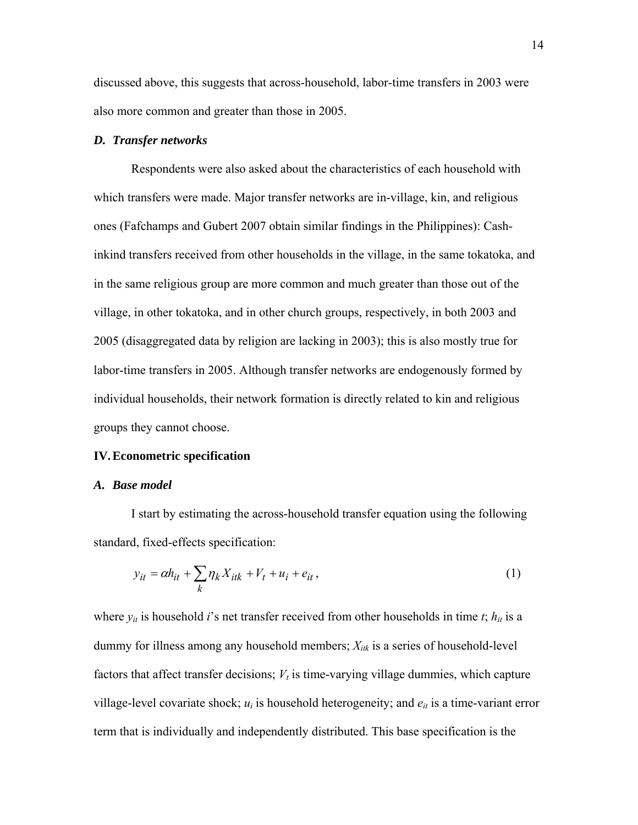discussed above, this suggests that across-household, labor-time transfers in 2003 were also more common and greater than those in 2005.

#### *D. Transfer networks*

Respondents were also asked about the characteristics of each household with which transfers were made. Major transfer networks are in-village, kin, and religious ones (Fafchamps and Gubert 2007 obtain similar findings in the Philippines): Cashinkind transfers received from other households in the village, in the same tokatoka, and in the same religious group are more common and much greater than those out of the village, in other tokatoka, and in other church groups, respectively, in both 2003 and 2005 (disaggregated data by religion are lacking in 2003); this is also mostly true for labor-time transfers in 2005. Although transfer networks are endogenously formed by individual households, their network formation is directly related to kin and religious groups they cannot choose.

#### **IV.Econometric specification**

#### *A. Base model*

I start by estimating the across-household transfer equation using the following standard, fixed-effects specification:

$$
y_{it} = \alpha h_{it} + \sum_{k} \eta_k X_{itk} + V_t + u_i + e_{it}, \qquad (1)
$$

where  $y_{it}$  is household *i*'s net transfer received from other households in time *t*;  $h_{it}$  is a dummy for illness among any household members; *Xitk* is a series of household-level factors that affect transfer decisions;  $V_t$  is time-varying village dummies, which capture village-level covariate shock;  $u_i$  is household heterogeneity; and  $e_{it}$  is a time-variant error term that is individually and independently distributed. This base specification is the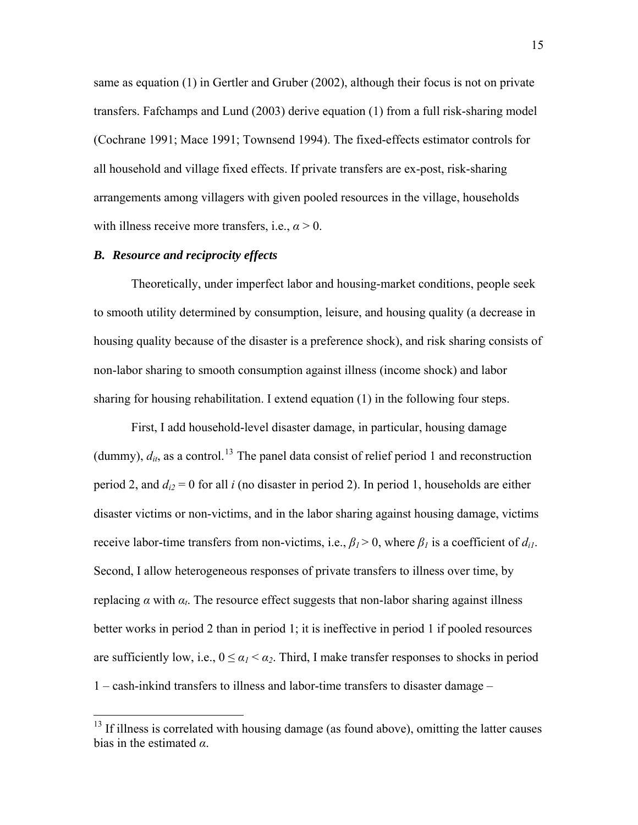<span id="page-15-0"></span>same as equation (1) in Gertler and Gruber (2002), although their focus is not on private transfers. Fafchamps and Lund (2003) derive equation (1) from a full risk-sharing model (Cochrane 1991; Mace 1991; Townsend 1994). The fixed-effects estimator controls for all household and village fixed effects. If private transfers are ex-post, risk-sharing arrangements among villagers with given pooled resources in the village, households with illness receive more transfers, i.e.,  $\alpha > 0$ .

## *B. Resource and reciprocity effects*

 $\overline{a}$ 

Theoretically, under imperfect labor and housing-market conditions, people seek to smooth utility determined by consumption, leisure, and housing quality (a decrease in housing quality because of the disaster is a preference shock), and risk sharing consists of non-labor sharing to smooth consumption against illness (income shock) and labor sharing for housing rehabilitation. I extend equation (1) in the following four steps.

First, I add household-level disaster damage, in particular, housing damage (dummy),  $d_{it}$ , as a control.<sup>[13](#page-15-0)</sup> The panel data consist of relief period 1 and reconstruction period 2, and  $d_{i2} = 0$  for all *i* (no disaster in period 2). In period 1, households are either disaster victims or non-victims, and in the labor sharing against housing damage, victims receive labor-time transfers from non-victims, i.e.,  $\beta_l$  > 0, where  $\beta_l$  is a coefficient of  $d_{il}$ . Second, I allow heterogeneous responses of private transfers to illness over time, by replacing *α* with *αt*. The resource effect suggests that non-labor sharing against illness better works in period 2 than in period 1; it is ineffective in period 1 if pooled resources are sufficiently low, i.e.,  $0 \le \alpha_1 < \alpha_2$ . Third, I make transfer responses to shocks in period 1 – cash-inkind transfers to illness and labor-time transfers to disaster damage –

 $<sup>13</sup>$  If illness is correlated with housing damage (as found above), omitting the latter causes</sup> bias in the estimated *α*.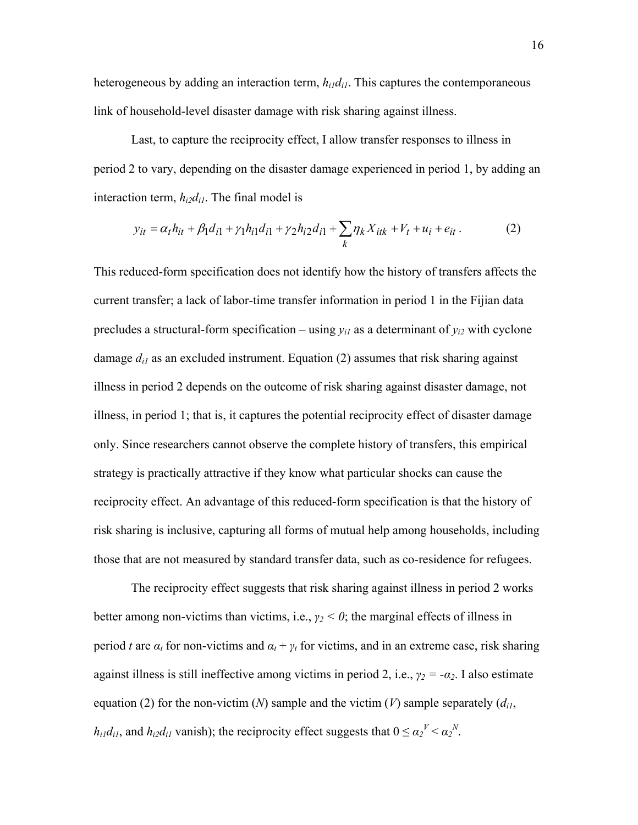heterogeneous by adding an interaction term,  $h_{i1}d_{i1}$ . This captures the contemporaneous link of household-level disaster damage with risk sharing against illness.

Last, to capture the reciprocity effect, I allow transfer responses to illness in period 2 to vary, depending on the disaster damage experienced in period 1, by adding an interaction term,  $h_{i2}d_{i1}$ . The final model is

$$
y_{it} = \alpha_t h_{it} + \beta_1 d_{i1} + \gamma_1 h_{i1} d_{i1} + \gamma_2 h_{i2} d_{i1} + \sum_k \eta_k X_{itk} + V_t + u_i + e_{it}.
$$
 (2)

This reduced-form specification does not identify how the history of transfers affects the current transfer; a lack of labor-time transfer information in period 1 in the Fijian data precludes a structural-form specification – using  $y_{i1}$  as a determinant of  $y_{i2}$  with cyclone damage  $d_{il}$  as an excluded instrument. Equation (2) assumes that risk sharing against illness in period 2 depends on the outcome of risk sharing against disaster damage, not illness, in period 1; that is, it captures the potential reciprocity effect of disaster damage only. Since researchers cannot observe the complete history of transfers, this empirical strategy is practically attractive if they know what particular shocks can cause the reciprocity effect. An advantage of this reduced-form specification is that the history of risk sharing is inclusive, capturing all forms of mutual help among households, including those that are not measured by standard transfer data, such as co-residence for refugees.

The reciprocity effect suggests that risk sharing against illness in period 2 works better among non-victims than victims, i.e., *γ2 < 0*; the marginal effects of illness in period *t* are  $\alpha_t$  for non-victims and  $\alpha_t + \gamma_t$  for victims, and in an extreme case, risk sharing against illness is still ineffective among victims in period 2, i.e.,  $\gamma_2 = -\alpha_2$ . I also estimate equation (2) for the non-victim (*N*) sample and the victim (*V*) sample separately  $(d_{i,j})$ , *h*<sub>i1</sub> $d_{i1}$ , and  $h_{i2}d_{i1}$  vanish); the reciprocity effect suggests that  $0 \le \alpha_2^{\nu} < \alpha_2^{\nu}$ .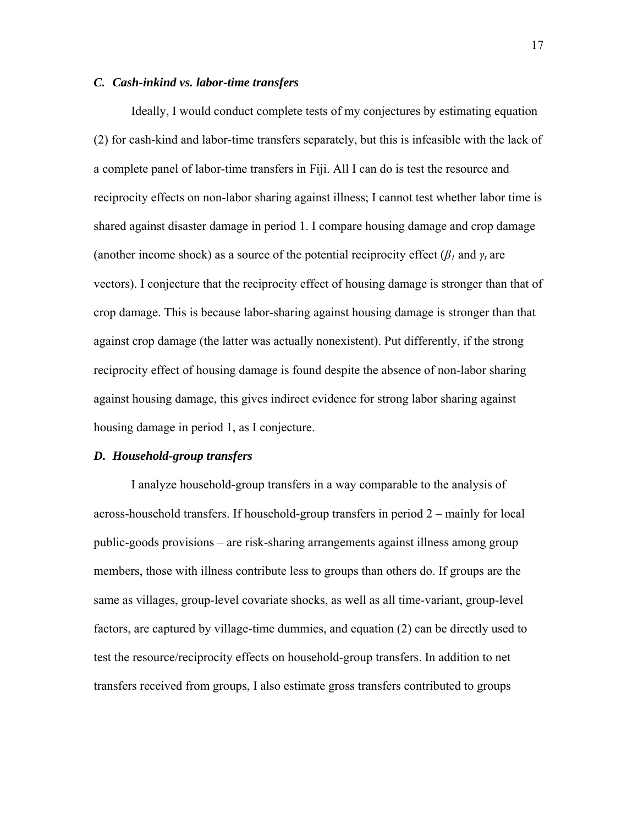## *C. Cash-inkind vs. labor-time transfers*

Ideally, I would conduct complete tests of my conjectures by estimating equation (2) for cash-kind and labor-time transfers separately, but this is infeasible with the lack of a complete panel of labor-time transfers in Fiji. All I can do is test the resource and reciprocity effects on non-labor sharing against illness; I cannot test whether labor time is shared against disaster damage in period 1. I compare housing damage and crop damage (another income shock) as a source of the potential reciprocity effect ( $\beta$ <sub>*l*</sub> and  $\gamma$ <sub>*t*</sub> are vectors). I conjecture that the reciprocity effect of housing damage is stronger than that of crop damage. This is because labor-sharing against housing damage is stronger than that against crop damage (the latter was actually nonexistent). Put differently, if the strong reciprocity effect of housing damage is found despite the absence of non-labor sharing against housing damage, this gives indirect evidence for strong labor sharing against housing damage in period 1, as I conjecture.

## *D. Household-group transfers*

I analyze household-group transfers in a way comparable to the analysis of across-household transfers. If household-group transfers in period 2 – mainly for local public-goods provisions – are risk-sharing arrangements against illness among group members, those with illness contribute less to groups than others do. If groups are the same as villages, group-level covariate shocks, as well as all time-variant, group-level factors, are captured by village-time dummies, and equation (2) can be directly used to test the resource/reciprocity effects on household-group transfers. In addition to net transfers received from groups, I also estimate gross transfers contributed to groups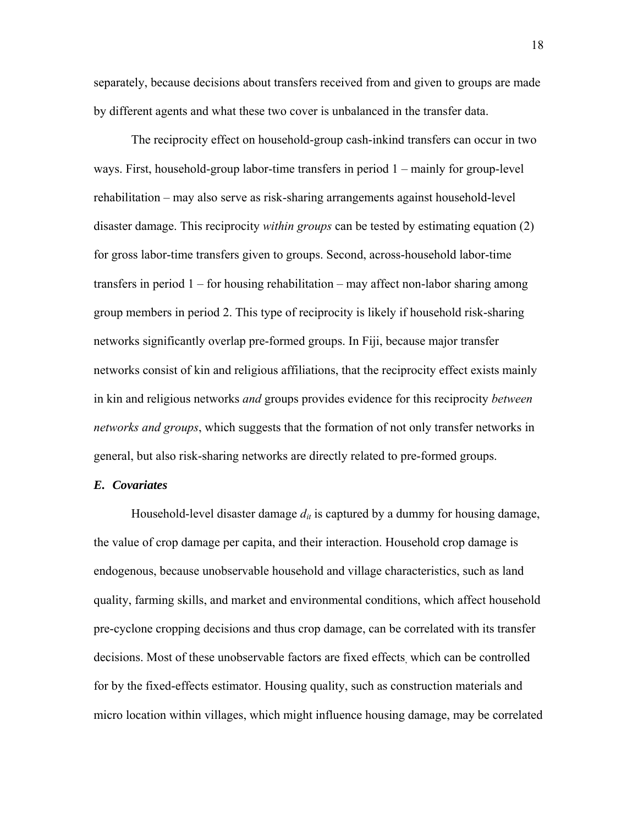separately, because decisions about transfers received from and given to groups are made by different agents and what these two cover is unbalanced in the transfer data.

The reciprocity effect on household-group cash-inkind transfers can occur in two ways. First, household-group labor-time transfers in period 1 – mainly for group-level rehabilitation – may also serve as risk-sharing arrangements against household-level disaster damage. This reciprocity *within groups* can be tested by estimating equation (2) for gross labor-time transfers given to groups. Second, across-household labor-time transfers in period 1 – for housing rehabilitation – may affect non-labor sharing among group members in period 2. This type of reciprocity is likely if household risk-sharing networks significantly overlap pre-formed groups. In Fiji, because major transfer networks consist of kin and religious affiliations, that the reciprocity effect exists mainly in kin and religious networks *and* groups provides evidence for this reciprocity *between networks and groups*, which suggests that the formation of not only transfer networks in general, but also risk-sharing networks are directly related to pre-formed groups.

## *E. Covariates*

Household-level disaster damage  $d_{it}$  is captured by a dummy for housing damage, the value of crop damage per capita, and their interaction. Household crop damage is endogenous, because unobservable household and village characteristics, such as land quality, farming skills, and market and environmental conditions, which affect household pre-cyclone cropping decisions and thus crop damage, can be correlated with its transfer decisions. Most of these unobservable factors are fixed effects, which can be controlled for by the fixed-effects estimator. Housing quality, such as construction materials and micro location within villages, which might influence housing damage, may be correlated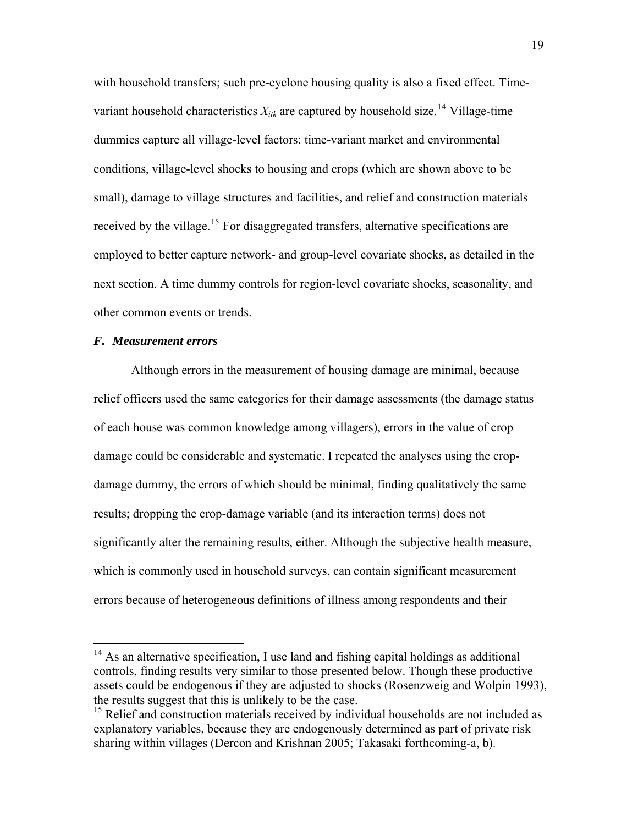<span id="page-19-0"></span>with household transfers; such pre-cyclone housing quality is also a fixed effect. Timevariant household characteristics  $X_{ik}$  are captured by household size.<sup>[14](#page-19-0)</sup> Village-time dummies capture all village-level factors: time-variant market and environmental conditions, village-level shocks to housing and crops (which are shown above to be small), damage to village structures and facilities, and relief and construction materials received by the village.<sup>[15](#page-19-0)</sup> For disaggregated transfers, alternative specifications are employed to better capture network- and group-level covariate shocks, as detailed in the next section. A time dummy controls for region-level covariate shocks, seasonality, and other common events or trends.

#### *F. Measurement errors*

 $\overline{a}$ 

Although errors in the measurement of housing damage are minimal, because relief officers used the same categories for their damage assessments (the damage status of each house was common knowledge among villagers), errors in the value of crop damage could be considerable and systematic. I repeated the analyses using the cropdamage dummy, the errors of which should be minimal, finding qualitatively the same results; dropping the crop-damage variable (and its interaction terms) does not significantly alter the remaining results, either. Although the subjective health measure, which is commonly used in household surveys, can contain significant measurement errors because of heterogeneous definitions of illness among respondents and their

 $14$  As an alternative specification, I use land and fishing capital holdings as additional controls, finding results very similar to those presented below. Though these productive assets could be endogenous if they are adjusted to shocks (Rosenzweig and Wolpin 1993), the results suggest that this is unlikely to be the case.

<sup>&</sup>lt;sup>15</sup> Relief and construction materials received by individual households are not included as explanatory variables, because they are endogenously determined as part of private risk sharing within villages (Dercon and Krishnan 2005; Takasaki forthcoming-a, b).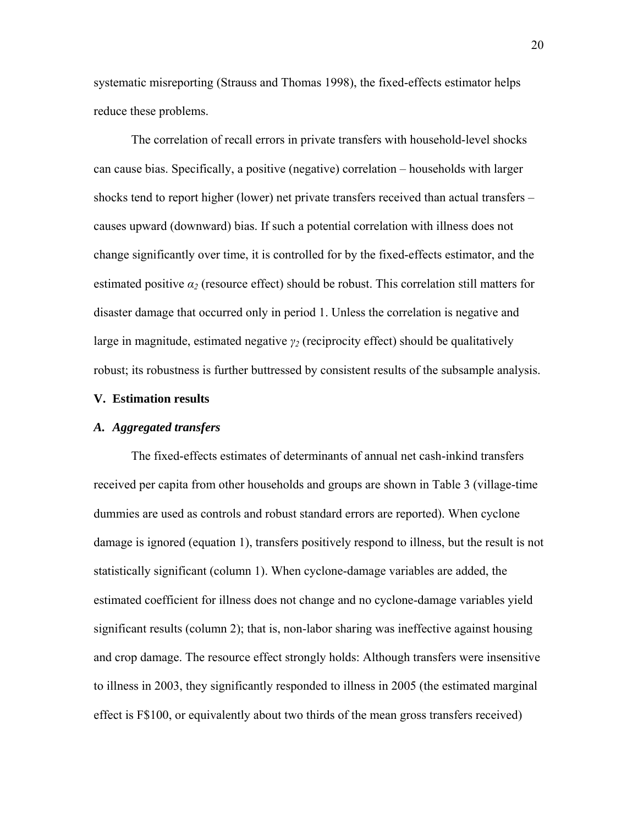systematic misreporting (Strauss and Thomas 1998), the fixed-effects estimator helps reduce these problems.

The correlation of recall errors in private transfers with household-level shocks can cause bias. Specifically, a positive (negative) correlation – households with larger shocks tend to report higher (lower) net private transfers received than actual transfers – causes upward (downward) bias. If such a potential correlation with illness does not change significantly over time, it is controlled for by the fixed-effects estimator, and the estimated positive *α2* (resource effect) should be robust. This correlation still matters for disaster damage that occurred only in period 1. Unless the correlation is negative and large in magnitude, estimated negative *γ2* (reciprocity effect) should be qualitatively robust; its robustness is further buttressed by consistent results of the subsample analysis.

## **V. Estimation results**

#### *A. Aggregated transfers*

The fixed-effects estimates of determinants of annual net cash-inkind transfers received per capita from other households and groups are shown in Table 3 (village-time dummies are used as controls and robust standard errors are reported). When cyclone damage is ignored (equation 1), transfers positively respond to illness, but the result is not statistically significant (column 1). When cyclone-damage variables are added, the estimated coefficient for illness does not change and no cyclone-damage variables yield significant results (column 2); that is, non-labor sharing was ineffective against housing and crop damage. The resource effect strongly holds: Although transfers were insensitive to illness in 2003, they significantly responded to illness in 2005 (the estimated marginal effect is F\$100, or equivalently about two thirds of the mean gross transfers received)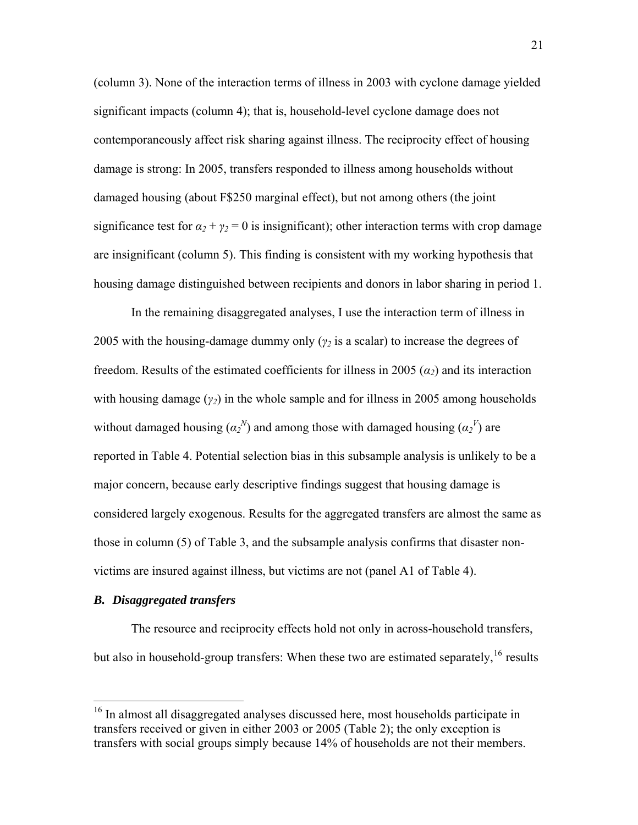<span id="page-21-0"></span>(column 3). None of the interaction terms of illness in 2003 with cyclone damage yielded significant impacts (column 4); that is, household-level cyclone damage does not contemporaneously affect risk sharing against illness. The reciprocity effect of housing damage is strong: In 2005, transfers responded to illness among households without damaged housing (about F\$250 marginal effect), but not among others (the joint significance test for  $\alpha_2 + \gamma_2 = 0$  is insignificant); other interaction terms with crop damage are insignificant (column 5). This finding is consistent with my working hypothesis that housing damage distinguished between recipients and donors in labor sharing in period 1.

In the remaining disaggregated analyses, I use the interaction term of illness in 2005 with the housing-damage dummy only (*γ2* is a scalar) to increase the degrees of freedom. Results of the estimated coefficients for illness in 2005 (*α2*) and its interaction with housing damage  $(\gamma_2)$  in the whole sample and for illness in 2005 among households without damaged housing  $(\alpha_2^N)$  and among those with damaged housing  $(\alpha_2^V)$  are reported in Table 4. Potential selection bias in this subsample analysis is unlikely to be a major concern, because early descriptive findings suggest that housing damage is considered largely exogenous. Results for the aggregated transfers are almost the same as those in column (5) of Table 3, and the subsample analysis confirms that disaster nonvictims are insured against illness, but victims are not (panel A1 of Table 4).

## *B. Disaggregated transfers*

 $\overline{a}$ 

The resource and reciprocity effects hold not only in across-household transfers, but also in household-group transfers: When these two are estimated separately,  $16$  results

<sup>&</sup>lt;sup>16</sup> In almost all disaggregated analyses discussed here, most households participate in transfers received or given in either 2003 or 2005 (Table 2); the only exception is transfers with social groups simply because 14% of households are not their members.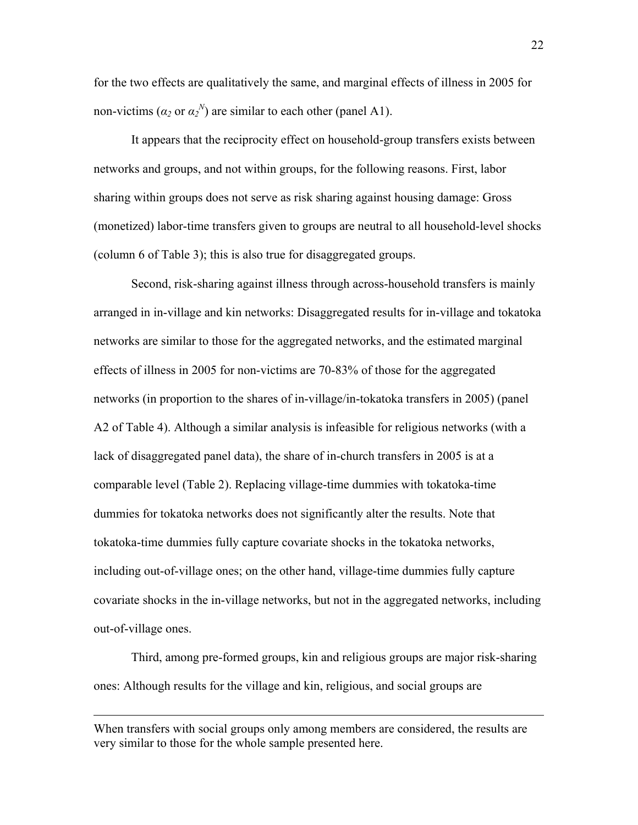for the two effects are qualitatively the same, and marginal effects of illness in 2005 for non-victims ( $\alpha_2$  or  $\alpha_2^N$ ) are similar to each other (panel A1).

It appears that the reciprocity effect on household-group transfers exists between networks and groups, and not within groups, for the following reasons. First, labor sharing within groups does not serve as risk sharing against housing damage: Gross (monetized) labor-time transfers given to groups are neutral to all household-level shocks (column 6 of Table 3); this is also true for disaggregated groups.

Second, risk-sharing against illness through across-household transfers is mainly arranged in in-village and kin networks: Disaggregated results for in-village and tokatoka networks are similar to those for the aggregated networks, and the estimated marginal effects of illness in 2005 for non-victims are 70-83% of those for the aggregated networks (in proportion to the shares of in-village/in-tokatoka transfers in 2005) (panel A2 of Table 4). Although a similar analysis is infeasible for religious networks (with a lack of disaggregated panel data), the share of in-church transfers in 2005 is at a comparable level (Table 2). Replacing village-time dummies with tokatoka-time dummies for tokatoka networks does not significantly alter the results. Note that tokatoka-time dummies fully capture covariate shocks in the tokatoka networks, including out-of-village ones; on the other hand, village-time dummies fully capture covariate shocks in the in-village networks, but not in the aggregated networks, including out-of-village ones.

Third, among pre-formed groups, kin and religious groups are major risk-sharing ones: Although results for the village and kin, religious, and social groups are

 $\overline{a}$ 

When transfers with social groups only among members are considered, the results are very similar to those for the whole sample presented here.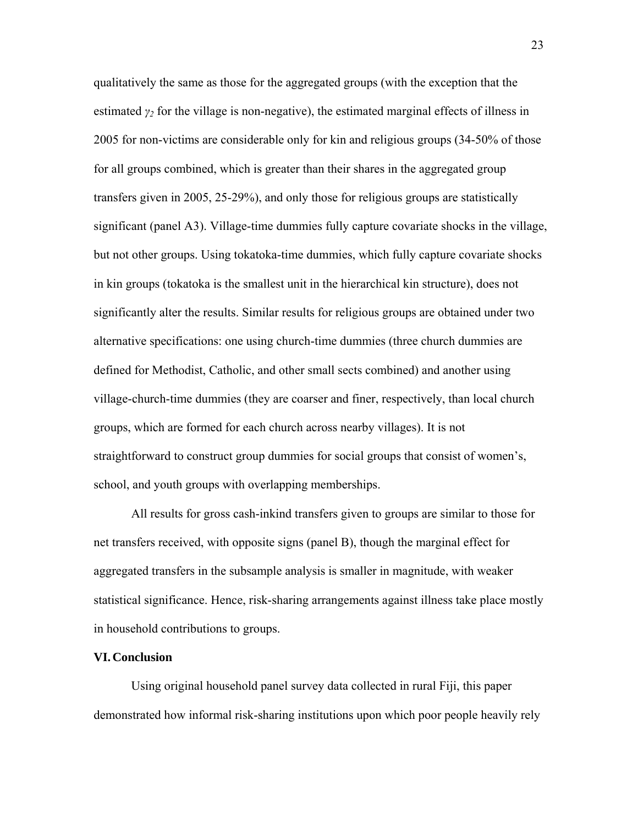qualitatively the same as those for the aggregated groups (with the exception that the estimated  $\gamma_2$  for the village is non-negative), the estimated marginal effects of illness in 2005 for non-victims are considerable only for kin and religious groups (34-50% of those for all groups combined, which is greater than their shares in the aggregated group transfers given in 2005, 25-29%), and only those for religious groups are statistically significant (panel A3). Village-time dummies fully capture covariate shocks in the village, but not other groups. Using tokatoka-time dummies, which fully capture covariate shocks in kin groups (tokatoka is the smallest unit in the hierarchical kin structure), does not significantly alter the results. Similar results for religious groups are obtained under two alternative specifications: one using church-time dummies (three church dummies are defined for Methodist, Catholic, and other small sects combined) and another using village-church-time dummies (they are coarser and finer, respectively, than local church groups, which are formed for each church across nearby villages). It is not straightforward to construct group dummies for social groups that consist of women's, school, and youth groups with overlapping memberships.

All results for gross cash-inkind transfers given to groups are similar to those for net transfers received, with opposite signs (panel B), though the marginal effect for aggregated transfers in the subsample analysis is smaller in magnitude, with weaker statistical significance. Hence, risk-sharing arrangements against illness take place mostly in household contributions to groups.

#### **VI.Conclusion**

Using original household panel survey data collected in rural Fiji, this paper demonstrated how informal risk-sharing institutions upon which poor people heavily rely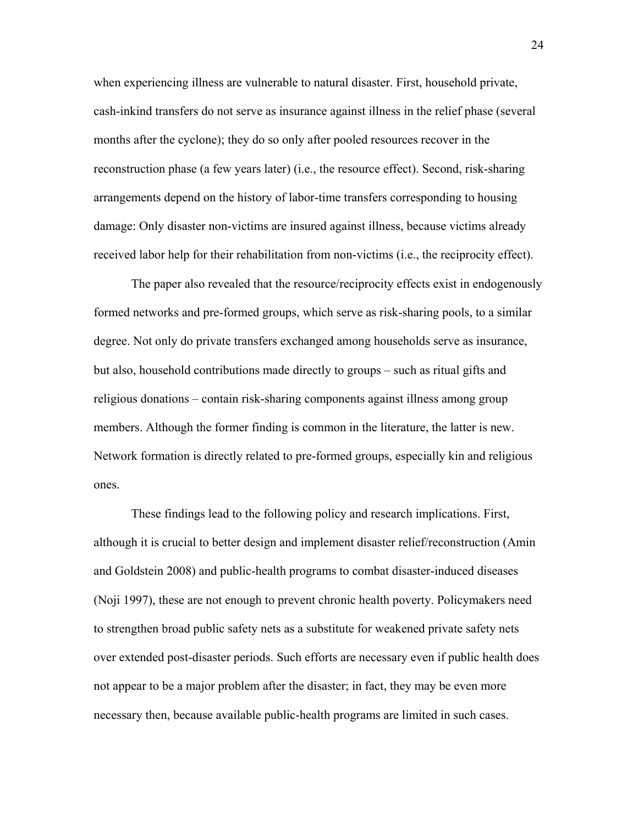when experiencing illness are vulnerable to natural disaster. First, household private, cash-inkind transfers do not serve as insurance against illness in the relief phase (several months after the cyclone); they do so only after pooled resources recover in the reconstruction phase (a few years later) (i.e., the resource effect). Second, risk-sharing arrangements depend on the history of labor-time transfers corresponding to housing damage: Only disaster non-victims are insured against illness, because victims already received labor help for their rehabilitation from non-victims (i.e., the reciprocity effect).

The paper also revealed that the resource/reciprocity effects exist in endogenously formed networks and pre-formed groups, which serve as risk-sharing pools, to a similar degree. Not only do private transfers exchanged among households serve as insurance, but also, household contributions made directly to groups – such as ritual gifts and religious donations – contain risk-sharing components against illness among group members. Although the former finding is common in the literature, the latter is new. Network formation is directly related to pre-formed groups, especially kin and religious ones.

These findings lead to the following policy and research implications. First, although it is crucial to better design and implement disaster relief/reconstruction (Amin and Goldstein 2008) and public-health programs to combat disaster-induced diseases (Noji 1997), these are not enough to prevent chronic health poverty. Policymakers need to strengthen broad public safety nets as a substitute for weakened private safety nets over extended post-disaster periods. Such efforts are necessary even if public health does not appear to be a major problem after the disaster; in fact, they may be even more necessary then, because available public-health programs are limited in such cases.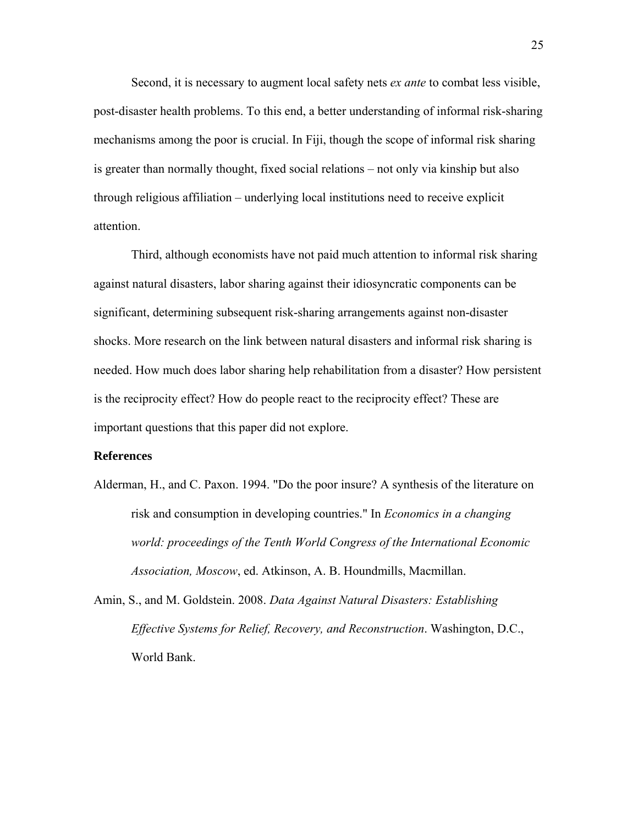Second, it is necessary to augment local safety nets *ex ante* to combat less visible, post-disaster health problems. To this end, a better understanding of informal risk-sharing mechanisms among the poor is crucial. In Fiji, though the scope of informal risk sharing is greater than normally thought, fixed social relations – not only via kinship but also through religious affiliation – underlying local institutions need to receive explicit attention.

Third, although economists have not paid much attention to informal risk sharing against natural disasters, labor sharing against their idiosyncratic components can be significant, determining subsequent risk-sharing arrangements against non-disaster shocks. More research on the link between natural disasters and informal risk sharing is needed. How much does labor sharing help rehabilitation from a disaster? How persistent is the reciprocity effect? How do people react to the reciprocity effect? These are important questions that this paper did not explore.

## **References**

Alderman, H., and C. Paxon. 1994. "Do the poor insure? A synthesis of the literature on risk and consumption in developing countries." In *Economics in a changing world: proceedings of the Tenth World Congress of the International Economic Association, Moscow*, ed. Atkinson, A. B. Houndmills, Macmillan.

Amin, S., and M. Goldstein. 2008. *Data Against Natural Disasters: Establishing Effective Systems for Relief, Recovery, and Reconstruction*. Washington, D.C., World Bank.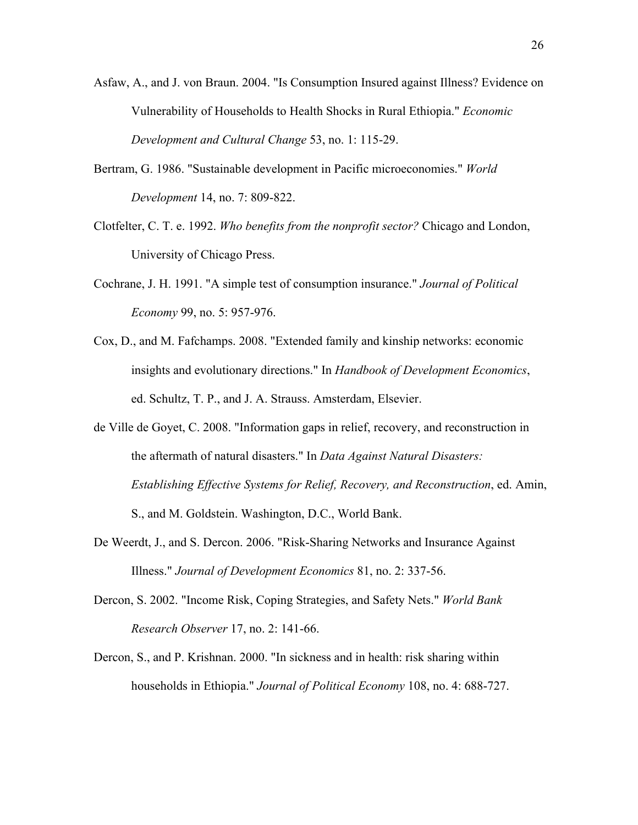- Asfaw, A., and J. von Braun. 2004. "Is Consumption Insured against Illness? Evidence on Vulnerability of Households to Health Shocks in Rural Ethiopia." *Economic Development and Cultural Change* 53, no. 1: 115-29.
- Bertram, G. 1986. "Sustainable development in Pacific microeconomies." *World Development* 14, no. 7: 809-822.
- Clotfelter, C. T. e. 1992. *Who benefits from the nonprofit sector?* Chicago and London, University of Chicago Press.
- Cochrane, J. H. 1991. "A simple test of consumption insurance." *Journal of Political Economy* 99, no. 5: 957-976.
- Cox, D., and M. Fafchamps. 2008. "Extended family and kinship networks: economic insights and evolutionary directions." In *Handbook of Development Economics*, ed. Schultz, T. P., and J. A. Strauss. Amsterdam, Elsevier.
- de Ville de Goyet, C. 2008. "Information gaps in relief, recovery, and reconstruction in the aftermath of natural disasters." In *Data Against Natural Disasters: Establishing Effective Systems for Relief, Recovery, and Reconstruction*, ed. Amin, S., and M. Goldstein. Washington, D.C., World Bank.
- De Weerdt, J., and S. Dercon. 2006. "Risk-Sharing Networks and Insurance Against Illness." *Journal of Development Economics* 81, no. 2: 337-56.
- Dercon, S. 2002. "Income Risk, Coping Strategies, and Safety Nets." *World Bank Research Observer* 17, no. 2: 141-66.
- Dercon, S., and P. Krishnan. 2000. "In sickness and in health: risk sharing within households in Ethiopia." *Journal of Political Economy* 108, no. 4: 688-727.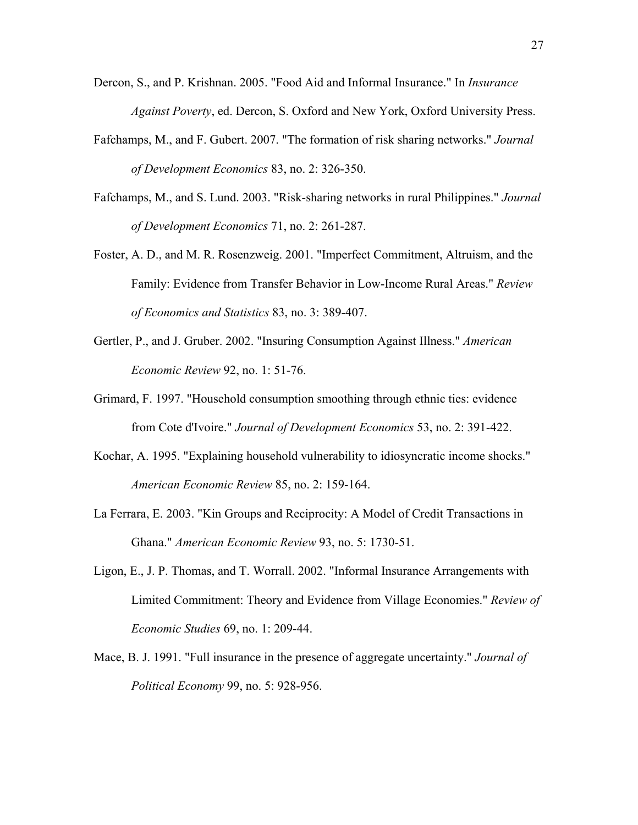- Dercon, S., and P. Krishnan. 2005. "Food Aid and Informal Insurance." In *Insurance Against Poverty*, ed. Dercon, S. Oxford and New York, Oxford University Press.
- Fafchamps, M., and F. Gubert. 2007. "The formation of risk sharing networks." *Journal of Development Economics* 83, no. 2: 326-350.
- Fafchamps, M., and S. Lund. 2003. "Risk-sharing networks in rural Philippines." *Journal of Development Economics* 71, no. 2: 261-287.
- Foster, A. D., and M. R. Rosenzweig. 2001. "Imperfect Commitment, Altruism, and the Family: Evidence from Transfer Behavior in Low-Income Rural Areas." *Review of Economics and Statistics* 83, no. 3: 389-407.
- Gertler, P., and J. Gruber. 2002. "Insuring Consumption Against Illness." *American Economic Review* 92, no. 1: 51-76.
- Grimard, F. 1997. "Household consumption smoothing through ethnic ties: evidence from Cote d'Ivoire." *Journal of Development Economics* 53, no. 2: 391-422.
- Kochar, A. 1995. "Explaining household vulnerability to idiosyncratic income shocks." *American Economic Review* 85, no. 2: 159-164.
- La Ferrara, E. 2003. "Kin Groups and Reciprocity: A Model of Credit Transactions in Ghana." *American Economic Review* 93, no. 5: 1730-51.
- Ligon, E., J. P. Thomas, and T. Worrall. 2002. "Informal Insurance Arrangements with Limited Commitment: Theory and Evidence from Village Economies." *Review of Economic Studies* 69, no. 1: 209-44.
- Mace, B. J. 1991. "Full insurance in the presence of aggregate uncertainty." *Journal of Political Economy* 99, no. 5: 928-956.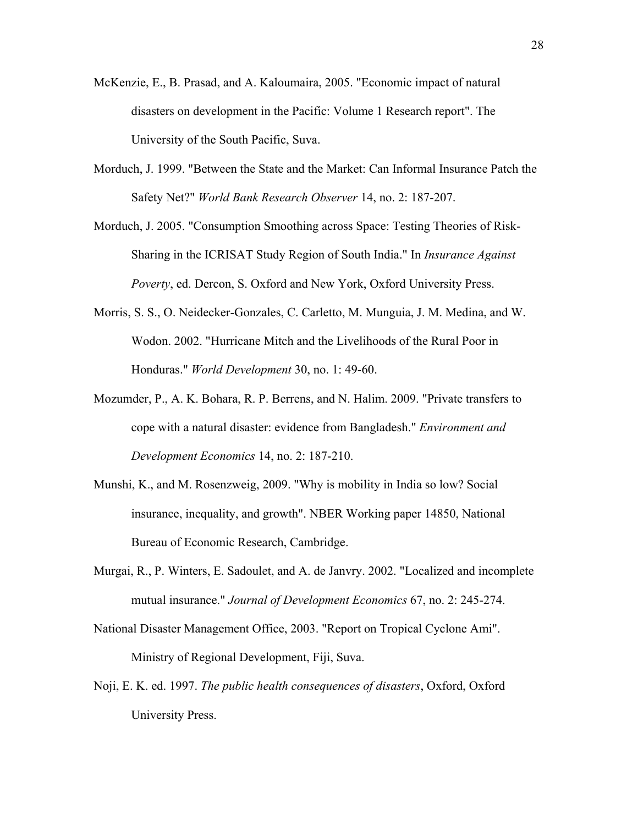- McKenzie, E., B. Prasad, and A. Kaloumaira, 2005. "Economic impact of natural disasters on development in the Pacific: Volume 1 Research report". The University of the South Pacific, Suva.
- Morduch, J. 1999. "Between the State and the Market: Can Informal Insurance Patch the Safety Net?" *World Bank Research Observer* 14, no. 2: 187-207.
- Morduch, J. 2005. "Consumption Smoothing across Space: Testing Theories of Risk-Sharing in the ICRISAT Study Region of South India." In *Insurance Against Poverty*, ed. Dercon, S. Oxford and New York, Oxford University Press.
- Morris, S. S., O. Neidecker-Gonzales, C. Carletto, M. Munguia, J. M. Medina, and W. Wodon. 2002. "Hurricane Mitch and the Livelihoods of the Rural Poor in Honduras." *World Development* 30, no. 1: 49-60.
- Mozumder, P., A. K. Bohara, R. P. Berrens, and N. Halim. 2009. "Private transfers to cope with a natural disaster: evidence from Bangladesh." *Environment and Development Economics* 14, no. 2: 187-210.
- Munshi, K., and M. Rosenzweig, 2009. "Why is mobility in India so low? Social insurance, inequality, and growth". NBER Working paper 14850, National Bureau of Economic Research, Cambridge.
- Murgai, R., P. Winters, E. Sadoulet, and A. de Janvry. 2002. "Localized and incomplete mutual insurance." *Journal of Development Economics* 67, no. 2: 245-274.
- National Disaster Management Office, 2003. "Report on Tropical Cyclone Ami". Ministry of Regional Development, Fiji, Suva.
- Noji, E. K. ed. 1997. *The public health consequences of disasters*, Oxford, Oxford University Press.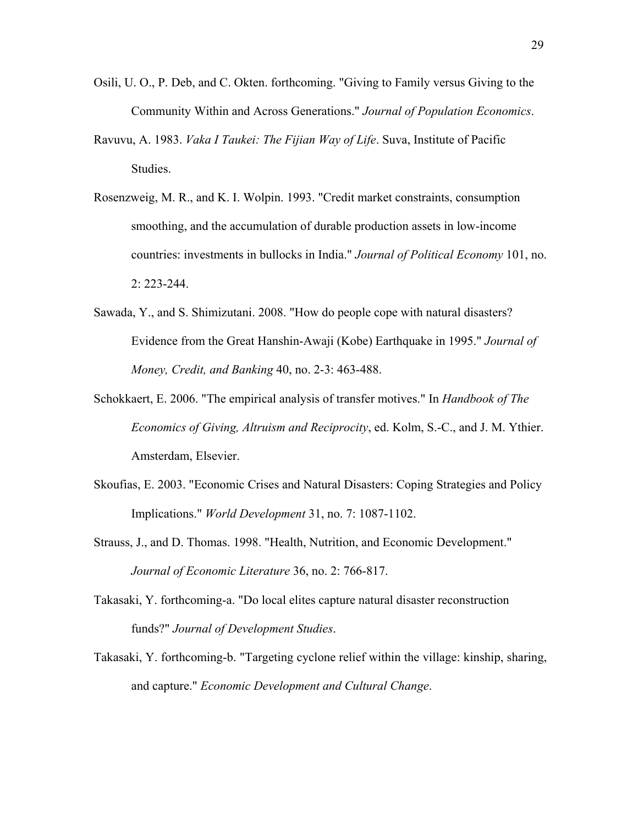- Osili, U. O., P. Deb, and C. Okten. forthcoming. "Giving to Family versus Giving to the Community Within and Across Generations." *Journal of Population Economics*.
- Ravuvu, A. 1983. *Vaka I Taukei: The Fijian Way of Life*. Suva, Institute of Pacific Studies.
- Rosenzweig, M. R., and K. I. Wolpin. 1993. "Credit market constraints, consumption smoothing, and the accumulation of durable production assets in low-income countries: investments in bullocks in India." *Journal of Political Economy* 101, no. 2: 223-244.
- Sawada, Y., and S. Shimizutani. 2008. "How do people cope with natural disasters? Evidence from the Great Hanshin-Awaji (Kobe) Earthquake in 1995." *Journal of Money, Credit, and Banking* 40, no. 2-3: 463-488.
- Schokkaert, E. 2006. "The empirical analysis of transfer motives." In *Handbook of The Economics of Giving, Altruism and Reciprocity*, ed. Kolm, S.-C., and J. M. Ythier. Amsterdam, Elsevier.
- Skoufias, E. 2003. "Economic Crises and Natural Disasters: Coping Strategies and Policy Implications." *World Development* 31, no. 7: 1087-1102.
- Strauss, J., and D. Thomas. 1998. "Health, Nutrition, and Economic Development." *Journal of Economic Literature* 36, no. 2: 766-817.
- Takasaki, Y. forthcoming-a. "Do local elites capture natural disaster reconstruction funds?" *Journal of Development Studies*.
- Takasaki, Y. forthcoming-b. "Targeting cyclone relief within the village: kinship, sharing, and capture." *Economic Development and Cultural Change*.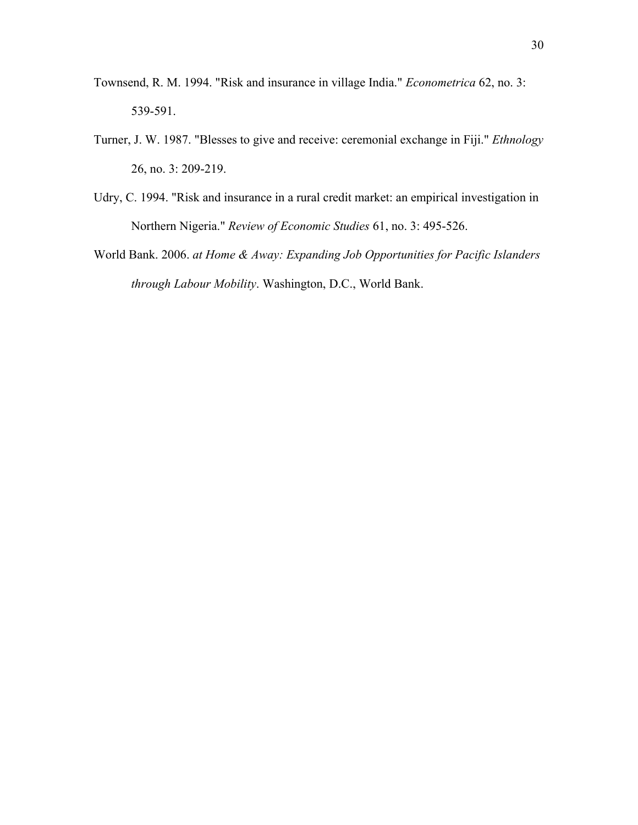- Townsend, R. M. 1994. "Risk and insurance in village India." *Econometrica* 62, no. 3: 539-591.
- Turner, J. W. 1987. "Blesses to give and receive: ceremonial exchange in Fiji." *Ethnology* 26, no. 3: 209-219.
- Udry, C. 1994. "Risk and insurance in a rural credit market: an empirical investigation in Northern Nigeria." *Review of Economic Studies* 61, no. 3: 495-526.
- World Bank. 2006. *at Home & Away: Expanding Job Opportunities for Pacific Islanders through Labour Mobility*. Washington, D.C., World Bank.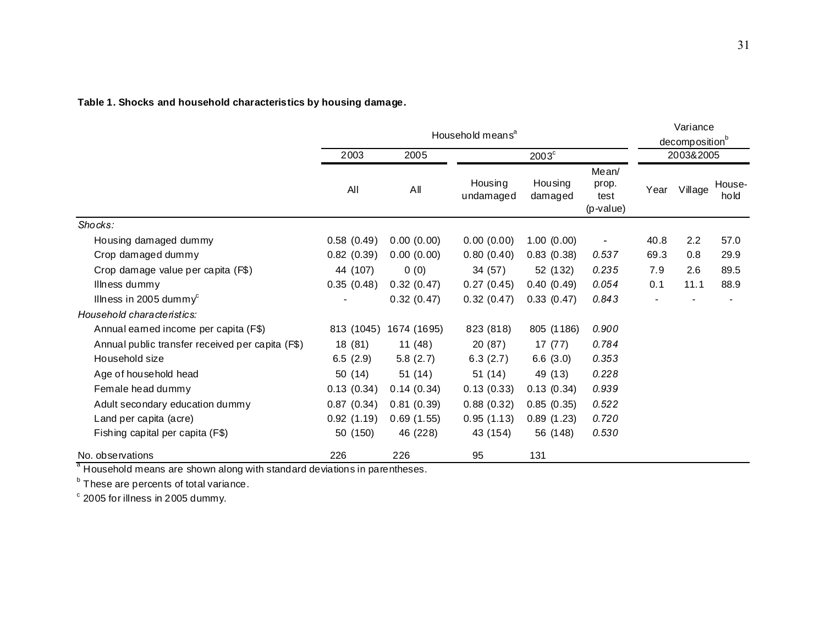**Table 1. Shocks and household characteristics by housing damage.**

|                                                  | Household means <sup>a</sup> |             |                      |                    |                                       | Variance<br>decomposition <sup>b</sup> |         |                |
|--------------------------------------------------|------------------------------|-------------|----------------------|--------------------|---------------------------------------|----------------------------------------|---------|----------------|
|                                                  | 2003<br>All                  | 2005        |                      | $2003^{\circ}$     |                                       | 2003&2005                              |         |                |
|                                                  |                              | AII         | Housing<br>undamaged | Housing<br>damaged | Mean/<br>prop.<br>test<br>$(p-value)$ | Year                                   | Village | House-<br>hold |
| Shocks:                                          |                              |             |                      |                    |                                       |                                        |         |                |
| Housing damaged dummy                            | 0.58(0.49)                   | 0.00(0.00)  | 0.00(0.00)           | 1.00(0.00)         |                                       | 40.8                                   | 2.2     | 57.0           |
| Crop damaged dummy                               | 0.82(0.39)                   | 0.00(0.00)  | 0.80(0.40)           | 0.83(0.38)         | 0.537                                 | 69.3                                   | 0.8     | 29.9           |
| Crop damage value per capita (F\$)               | 44 (107)                     | 0(0)        | 34 (57)              | 52 (132)           | 0.235                                 | 7.9                                    | 2.6     | 89.5           |
| Illness dummy                                    | 0.35(0.48)                   | 0.32(0.47)  | 0.27(0.45)           | 0.40(0.49)         | 0.054                                 | 0.1                                    | 11.1    | 88.9           |
| Illness in 2005 dummy <sup>c</sup>               |                              | 0.32(0.47)  | 0.32(0.47)           | 0.33(0.47)         | 0.843                                 |                                        |         |                |
| Household characteristics:                       |                              |             |                      |                    |                                       |                                        |         |                |
| Annual eamed income per capita (F\$)             | 813 (1045)                   | 1674 (1695) | 823 (818)            | 805 (1186)         | 0.900                                 |                                        |         |                |
| Annual public transfer received per capita (F\$) | 18 (81)                      | 11(48)      | 20 (87)              | 17(77)             | 0.784                                 |                                        |         |                |
| Household size                                   | 6.5(2.9)                     | 5.8(2.7)    | 6.3(2.7)             | 6.6(3.0)           | 0.353                                 |                                        |         |                |
| Age of household head                            | 50(14)                       | 51(14)      | 51(14)               | 49 (13)            | 0.228                                 |                                        |         |                |
| Female head dummy                                | 0.13(0.34)                   | 0.14(0.34)  | 0.13(0.33)           | 0.13(0.34)         | 0.939                                 |                                        |         |                |
| Adult secondary education dummy                  | 0.87(0.34)                   | 0.81(0.39)  | 0.88(0.32)           | 0.85(0.35)         | 0.522                                 |                                        |         |                |
| Land per capita (acre)                           | 0.92(1.19)                   | 0.69(1.55)  | 0.95(1.13)           | 0.89(1.23)         | 0.720                                 |                                        |         |                |
| Fishing capital per capita (F\$)                 | 50 (150)                     | 46 (228)    | 43 (154)             | 56 (148)           | 0.530                                 |                                        |         |                |
| No. observations                                 | 226                          | 226         | 95                   | 131                |                                       |                                        |         |                |

 $\degree$  Household means are shown along with standard deviations in parentheses.

**b** These are percents of total variance.

 $\degree$  2005 for illness in 2005 dummy.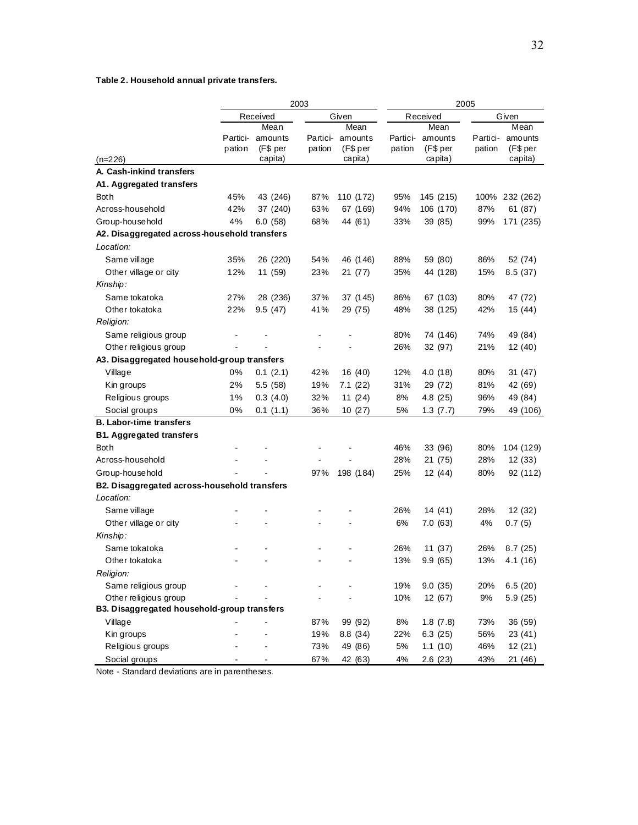## **Table 2. Household annual private transfers.**

|                                              | 2003     |                   |          |           | 2005              |           |          |                |  |
|----------------------------------------------|----------|-------------------|----------|-----------|-------------------|-----------|----------|----------------|--|
|                                              |          | Received<br>Given |          |           | Received<br>Given |           |          |                |  |
|                                              |          | Mean              |          | Mean      |                   | Mean      |          | Mean           |  |
|                                              | Partici- | amounts           | Partici- | amounts   | Partici-          | amounts   | Partici- | amounts        |  |
|                                              | pation   | (F\$ per          | pation   | (F\$ per  | pation            | (F\$ per  | pation   | (F\$ per       |  |
| $(n=226)$                                    |          | capita)           |          | capita)   |                   | capita)   |          | capita)        |  |
| A. Cash-inkind transfers                     |          |                   |          |           |                   |           |          |                |  |
| A1. Aggregated transfers                     |          |                   |          |           |                   |           |          |                |  |
| <b>Both</b>                                  | 45%      | 43 (246)          | 87%      | 110 (172) | 95%               | 145 (215) |          | 100% 232 (262) |  |
| Across-household                             | 42%      | 37 (240)          | 63%      | 67 (169)  | 94%               | 106 (170) | 87%      | 61(87)         |  |
| Group-household                              | 4%       | 6.0(58)           | 68%      | 44 (61)   | 33%               | 39 (85)   | 99%      | 171 (235)      |  |
| A2. Disaggregated across-household transfers |          |                   |          |           |                   |           |          |                |  |
| Location:                                    |          |                   |          |           |                   |           |          |                |  |
| Same village                                 | 35%      | 26 (220)          | 54%      | 46 (146)  | 88%               | 59 (80)   | 86%      | 52 (74)        |  |
| Other village or city                        | 12%      | 11 (59)           | 23%      | 21 (77)   | 35%               | 44 (128)  | 15%      | 8.5(37)        |  |
| Kinship:                                     |          |                   |          |           |                   |           |          |                |  |
| Same tokatoka                                | 27%      | 28 (236)          | 37%      | 37 (145)  | 86%               | 67 (103)  | 80%      | 47 (72)        |  |
| Other tokatoka                               | 22%      | 9.5(47)           | 41%      | 29 (75)   | 48%               | 38 (125)  | 42%      | 15(44)         |  |
| Religion:                                    |          |                   |          |           |                   |           |          |                |  |
| Same religious group                         |          |                   |          |           | 80%               | 74 (146)  | 74%      | 49 (84)        |  |
| Other religious group                        |          |                   |          |           | 26%               | 32 (97)   | 21%      | 12 (40)        |  |
| A3. Disaggregated household-group transfers  |          |                   |          |           |                   |           |          |                |  |
| Village                                      | 0%       | 0.1(2.1)          | 42%      | 16 (40)   | 12%               | 4.0(18)   | 80%      | 31(47)         |  |
| Kin groups                                   | 2%       | 5.5 (58)          | 19%      | 7.1(22)   | 31%               | 29 (72)   | 81%      | 42 (69)        |  |
| Religious groups                             | 1%       | 0.3(4.0)          | 32%      | 11(24)    | 8%                | 4.8 (25)  | 96%      | 49 (84)        |  |
| Social groups                                | 0%       | 0.1(1.1)          | 36%      | 10(27)    | 5%                | 1.3(7.7)  | 79%      | 49 (106)       |  |
| <b>B. Labor-time transfers</b>               |          |                   |          |           |                   |           |          |                |  |
| <b>B1. Aggregated transfers</b>              |          |                   |          |           |                   |           |          |                |  |
| <b>Both</b>                                  |          |                   |          |           | 46%               | 33 (96)   | 80%      | 104 (129)      |  |
| Across-household                             |          |                   |          |           | 28%               | 21 (75)   | 28%      | 12(33)         |  |
| Group-household                              |          |                   | 97%      | 198 (184) | 25%               | 12 (44)   | 80%      | 92 (112)       |  |
| B2. Disaggregated across-household transfers |          |                   |          |           |                   |           |          |                |  |
| Location:                                    |          |                   |          |           |                   |           |          |                |  |
| Same village                                 |          |                   |          |           | 26%               | 14 (41)   | 28%      | 12(32)         |  |
| Other village or city                        |          |                   |          |           | 6%                | 7.0 (63)  | 4%       | 0.7(5)         |  |
| Kinship:                                     |          |                   |          |           |                   |           |          |                |  |
| Same tokatoka                                |          |                   |          |           | 26%               | 11 (37)   | 26%      | 8.7(25)        |  |
| Other tokatoka                               |          |                   |          |           | 13%               | 9.9(65)   | 13%      | 4.1(16)        |  |
| Religion:                                    |          |                   |          |           |                   |           |          |                |  |
| Same religious group                         |          |                   |          |           | 19%               | 9.0(35)   | 20%      | 6.5(20)        |  |
| Other religious group                        |          |                   |          |           | 10%               | 12 (67)   | $9%$     | 5.9(25)        |  |
| B3. Disaggregated household-group transfers  |          |                   |          |           |                   |           |          |                |  |
| Village                                      |          |                   | 87%      | 99 (92)   | 8%                | 1.8(7.8)  | 73%      | 36 (59)        |  |
| Kin groups                                   |          |                   | 19%      | 8.8 (34)  | 22%               | 6.3(25)   | 56%      | 23 (41)        |  |
| Religious groups                             |          |                   | 73%      | 49 (86)   | 5%                | 1.1(10)   | 46%      | 12 (21)        |  |
| Social groups                                |          |                   | 67%      | 42 (63)   | 4%                | 2.6(23)   | 43%      | 21(46)         |  |

Note - Standard deviations are in parentheses.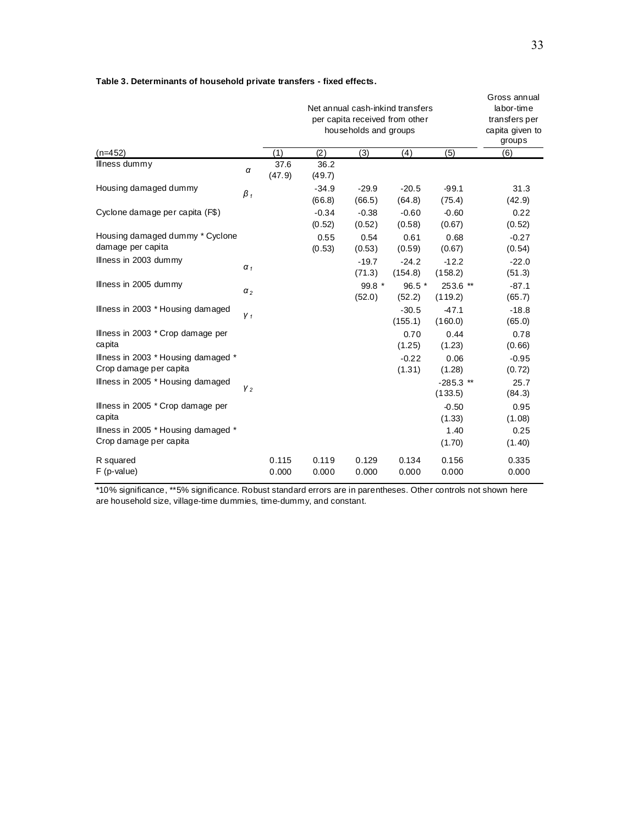|                                                               |                |                | Gross annual<br>labor-time<br>transfers per<br>capita given to<br>groups |                   |                    |                        |                   |
|---------------------------------------------------------------|----------------|----------------|--------------------------------------------------------------------------|-------------------|--------------------|------------------------|-------------------|
| (n=452)                                                       |                | (1)            | (2)                                                                      | (3)               | (4)                | (5)                    | (6)               |
| Illness dummy                                                 | α              | 37.6<br>(47.9) | 36.2<br>(49.7)                                                           |                   |                    |                        |                   |
| Housing damaged dummy                                         | $\beta_1$      |                | $-34.9$<br>(66.8)                                                        | $-29.9$<br>(66.5) | $-20.5$<br>(64.8)  | $-99.1$<br>(75.4)      | 31.3<br>(42.9)    |
| Cyclone damage per capita (F\$)                               |                |                | $-0.34$<br>(0.52)                                                        | $-0.38$<br>(0.52) | $-0.60$<br>(0.58)  | $-0.60$<br>(0.67)      | 0.22<br>(0.52)    |
| Housing damaged dummy * Cyclone<br>damage per capita          |                |                | 0.55<br>(0.53)                                                           | 0.54<br>(0.53)    | 0.61<br>(0.59)     | 0.68<br>(0.67)         | $-0.27$<br>(0.54) |
| Illness in 2003 dummy                                         | $\alpha_1$     |                |                                                                          | $-19.7$<br>(71.3) | $-24.2$<br>(154.8) | $-12.2$<br>(158.2)     | $-22.0$<br>(51.3) |
| Illness in 2005 dummy                                         | $\alpha_2$     |                |                                                                          | $99.8*$<br>(52.0) | $96.5*$<br>(52.2)  | 253.6 **<br>(119.2)    | $-87.1$<br>(65.7) |
| Illness in 2003 * Housing damaged                             | V <sub>1</sub> |                |                                                                          |                   | $-30.5$<br>(155.1) | $-47.1$<br>(160.0)     | $-18.8$<br>(65.0) |
| Illness in 2003 * Crop damage per<br>capita                   |                |                |                                                                          |                   | 0.70<br>(1.25)     | 0.44<br>(1.23)         | 0.78<br>(0.66)    |
| Illness in 2003 * Housing damaged *<br>Crop damage per capita |                |                |                                                                          |                   | $-0.22$<br>(1.31)  | 0.06<br>(1.28)         | $-0.95$<br>(0.72) |
| Illness in 2005 * Housing damaged                             | V <sub>2</sub> |                |                                                                          |                   |                    | $-285.3$ **<br>(133.5) | 25.7<br>(84.3)    |
| Illness in 2005 * Crop damage per<br>capita                   |                |                |                                                                          |                   |                    | $-0.50$<br>(1.33)      | 0.95<br>(1.08)    |
| Illness in 2005 * Housing damaged *<br>Crop damage per capita |                |                |                                                                          |                   |                    | 1.40<br>(1.70)         | 0.25<br>(1.40)    |

#### **Table 3. Determinants of household private transfers - fixed effects.**

R squared<br>F (p-value)

\*10% significance, \*\*5% significance. Robust standard errors are in parentheses. Other controls not shown here are household size, village-time dummies, time-dummy, and constant.

F (p-value) 0.000 0.000 0.000 0.000 0.000 0.000

0.115 0.119 0.129 0.134 0.156 0.335<br>0.000 0.000 0.000 0.000 0.000 0.000